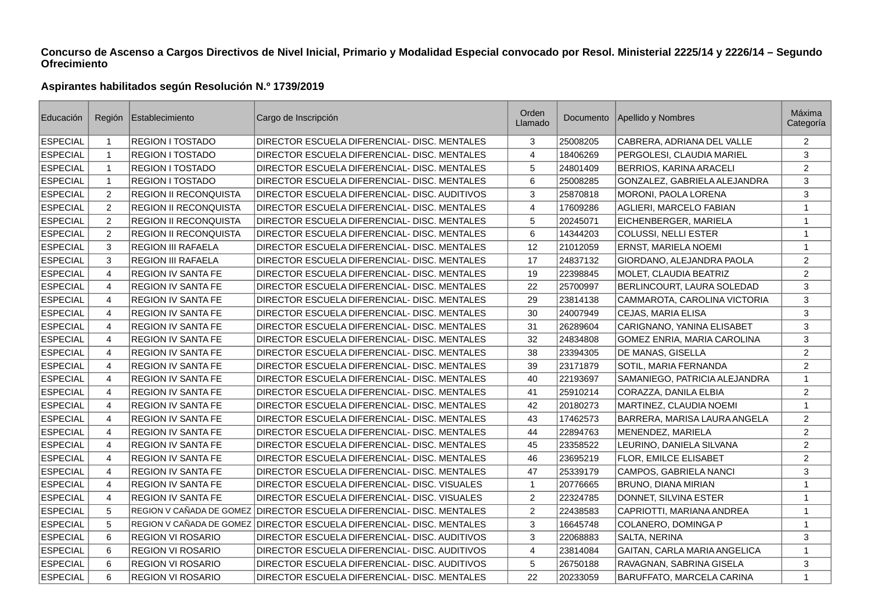## **Concurso de Ascenso a Cargos Directivos de Nivel Inicial, Primario y Modalidad Especial convocado por Resol. Ministerial 2225/14 y 2226/14 – Segundo Ofrecimiento**

## **Aspirantes habilitados según Resolución N.º 1739/2019**

| Educación       | Región         | Establecimiento           | Cargo de Inscripción                                                  | Orden<br>Llamado | Documento | Apellido y Nombres            | Máxima<br>Categoría |
|-----------------|----------------|---------------------------|-----------------------------------------------------------------------|------------------|-----------|-------------------------------|---------------------|
| <b>ESPECIAL</b> | 1              | REGION I TOSTADO          | DIRECTOR ESCUELA DIFERENCIAL- DISC. MENTALES                          | 3                | 25008205  | CABRERA, ADRIANA DEL VALLE    | $\overline{2}$      |
| ESPECIAL        | 1              | <b>REGION I TOSTADO</b>   | DIRECTOR ESCUELA DIFERENCIAL- DISC. MENTALES                          | 4                | 18406269  | PERGOLESI, CLAUDIA MARIEL     | 3                   |
| <b>ESPECIAL</b> | $\mathbf{1}$   | REGION I TOSTADO          | DIRECTOR ESCUELA DIFERENCIAL- DISC. MENTALES                          | 5                | 24801409  | BERRIOS, KARINA ARACELI       | $\overline{2}$      |
| <b>ESPECIAL</b> | $\mathbf{1}$   | <b>REGION I TOSTADO</b>   | DIRECTOR ESCUELA DIFERENCIAL- DISC. MENTALES                          | 6                | 25008285  | GONZALEZ, GABRIELA ALEJANDRA  | 3                   |
| <b>ESPECIAL</b> | $\overline{2}$ | REGION II RECONQUISTA     | DIRECTOR ESCUELA DIFERENCIAL- DISC. AUDITIVOS                         | 3                | 25870818  | MORONI, PAOLA LORENA          | 3                   |
| <b>ESPECIAL</b> | $\overline{c}$ | REGION II RECONQUISTA     | DIRECTOR ESCUELA DIFERENCIAL- DISC. MENTALES                          | $\overline{4}$   | 17609286  | AGLIERI, MARCELO FABIAN       | $\mathbf{1}$        |
| <b>ESPECIAL</b> | $\overline{c}$ | REGION II RECONQUISTA     | DIRECTOR ESCUELA DIFERENCIAL- DISC. MENTALES                          | 5                | 20245071  | EICHENBERGER, MARIELA         | $\mathbf{1}$        |
| <b>ESPECIAL</b> | $\overline{c}$ | REGION II RECONQUISTA     | DIRECTOR ESCUELA DIFERENCIAL- DISC. MENTALES                          | 6                | 14344203  | <b>COLUSSI, NELLI ESTER</b>   | $\mathbf{1}$        |
| <b>ESPECIAL</b> | 3              | <b>REGION III RAFAELA</b> | DIRECTOR ESCUELA DIFERENCIAL- DISC. MENTALES                          | 12               | 21012059  | ERNST, MARIELA NOEMI          | $\mathbf{1}$        |
| <b>ESPECIAL</b> | 3              | <b>REGION III RAFAELA</b> | DIRECTOR ESCUELA DIFERENCIAL- DISC. MENTALES                          | 17               | 24837132  | GIORDANO, ALEJANDRA PAOLA     | $\overline{2}$      |
| <b>ESPECIAL</b> | $\overline{4}$ | <b>REGION IV SANTA FE</b> | DIRECTOR ESCUELA DIFERENCIAL- DISC. MENTALES                          | 19               | 22398845  | MOLET, CLAUDIA BEATRIZ        | 2                   |
| <b>ESPECIAL</b> | 4              | <b>REGION IV SANTA FE</b> | DIRECTOR ESCUELA DIFERENCIAL- DISC. MENTALES                          | 22               | 25700997  | BERLINCOURT, LAURA SOLEDAD    | 3                   |
| <b>ESPECIAL</b> | $\overline{4}$ | REGION IV SANTA FE        | DIRECTOR ESCUELA DIFERENCIAL- DISC. MENTALES                          | 29               | 23814138  | CAMMAROTA, CAROLINA VICTORIA  | 3                   |
| <b>ESPECIAL</b> | $\overline{4}$ | <b>REGION IV SANTA FE</b> | DIRECTOR ESCUELA DIFERENCIAL- DISC. MENTALES                          | 30               | 24007949  | CEJAS, MARIA ELISA            | 3                   |
| <b>ESPECIAL</b> | 4              | <b>REGION IV SANTA FE</b> | DIRECTOR ESCUELA DIFERENCIAL- DISC. MENTALES                          | 31               | 26289604  | CARIGNANO, YANINA ELISABET    | 3                   |
| <b>ESPECIAL</b> | $\overline{4}$ | <b>REGION IV SANTA FE</b> | DIRECTOR ESCUELA DIFERENCIAL- DISC. MENTALES                          | 32               | 24834808  | GOMEZ ENRIA, MARIA CAROLINA   | 3                   |
| <b>ESPECIAL</b> | 4              | <b>REGION IV SANTA FE</b> | DIRECTOR ESCUELA DIFERENCIAL- DISC. MENTALES                          | 38               | 23394305  | DE MANAS, GISELLA             | 2                   |
| <b>ESPECIAL</b> | 4              | <b>REGION IV SANTA FE</b> | DIRECTOR ESCUELA DIFERENCIAL- DISC. MENTALES                          | 39               | 23171879  | SOTIL, MARIA FERNANDA         | 2                   |
| <b>ESPECIAL</b> | $\overline{4}$ | REGION IV SANTA FE        | DIRECTOR ESCUELA DIFERENCIAL- DISC. MENTALES                          | 40               | 22193697  | SAMANIEGO, PATRICIA ALEJANDRA | $\mathbf{1}$        |
| <b>ESPECIAL</b> | 4              | <b>REGION IV SANTA FE</b> | DIRECTOR ESCUELA DIFERENCIAL- DISC. MENTALES                          | 41               | 25910214  | CORAZZA, DANILA ELBIA         | 2                   |
| <b>ESPECIAL</b> | $\overline{4}$ | REGION IV SANTA FE        | DIRECTOR ESCUELA DIFERENCIAL- DISC. MENTALES                          | 42               | 20180273  | MARTINEZ, CLAUDIA NOEMI       | $\mathbf{1}$        |
| <b>ESPECIAL</b> | 4              | <b>REGION IV SANTA FE</b> | DIRECTOR ESCUELA DIFERENCIAL- DISC. MENTALES                          | 43               | 17462573  | BARRERA, MARISA LAURA ANGELA  | 2                   |
| <b>ESPECIAL</b> | 4              | <b>REGION IV SANTA FE</b> | DIRECTOR ESCUELA DIFERENCIAL- DISC. MENTALES                          | 44               | 22894763  | MENENDEZ, MARIELA             | $\overline{2}$      |
| <b>ESPECIAL</b> | 4              | REGION IV SANTA FE        | DIRECTOR ESCUELA DIFERENCIAL- DISC. MENTALES                          | 45               | 23358522  | LEURINO, DANIELA SILVANA      | $\overline{2}$      |
| <b>ESPECIAL</b> | 4              | <b>REGION IV SANTA FE</b> | DIRECTOR ESCUELA DIFERENCIAL- DISC. MENTALES                          | 46               | 23695219  | FLOR, EMILCE ELISABET         | 2                   |
| <b>ESPECIAL</b> | 4              | <b>REGION IV SANTA FE</b> | DIRECTOR ESCUELA DIFERENCIAL- DISC. MENTALES                          | 47               | 25339179  | <b>CAMPOS, GABRIELA NANCI</b> | 3                   |
| <b>ESPECIAL</b> | 4              | <b>REGION IV SANTA FE</b> | DIRECTOR ESCUELA DIFERENCIAL- DISC. VISUALES                          | $\mathbf{1}$     | 20776665  | BRUNO, DIANA MIRIAN           | $\mathbf{1}$        |
| <b>ESPECIAL</b> | 4              | <b>REGION IV SANTA FE</b> | DIRECTOR ESCUELA DIFERENCIAL- DISC. VISUALES                          | 2                | 22324785  | DONNET, SILVINA ESTER         | $\mathbf{1}$        |
| <b>ESPECIAL</b> | 5              |                           | REGION V CAÑADA DE GOMEZ DIRECTOR ESCUELA DIFERENCIAL- DISC. MENTALES | $\overline{2}$   | 22438583  | CAPRIOTTI, MARIANA ANDREA     | $\mathbf{1}$        |
| <b>ESPECIAL</b> | 5              |                           | REGION V CAÑADA DE GOMEZ DIRECTOR ESCUELA DIFERENCIAL- DISC. MENTALES | 3                | 16645748  | COLANERO, DOMINGA P           | $\mathbf{1}$        |
| <b>ESPECIAL</b> | 6              | REGION VI ROSARIO         | DIRECTOR ESCUELA DIFERENCIAL- DISC. AUDITIVOS                         | 3                | 22068883  | SALTA, NERINA                 | 3                   |
| <b>ESPECIAL</b> | 6              | <b>REGION VI ROSARIO</b>  | DIRECTOR ESCUELA DIFERENCIAL- DISC. AUDITIVOS                         | $\overline{4}$   | 23814084  | GAITAN, CARLA MARIA ANGELICA  | $\mathbf{1}$        |
| <b>ESPECIAL</b> | 6              | <b>REGION VI ROSARIO</b>  | DIRECTOR ESCUELA DIFERENCIAL- DISC. AUDITIVOS                         | 5                | 26750188  | RAVAGNAN, SABRINA GISELA      | 3                   |
| <b>ESPECIAL</b> | 6              | REGION VI ROSARIO         | DIRECTOR ESCUELA DIFERENCIAL- DISC. MENTALES                          | 22               | 20233059  | BARUFFATO, MARCELA CARINA     | $\mathbf{1}$        |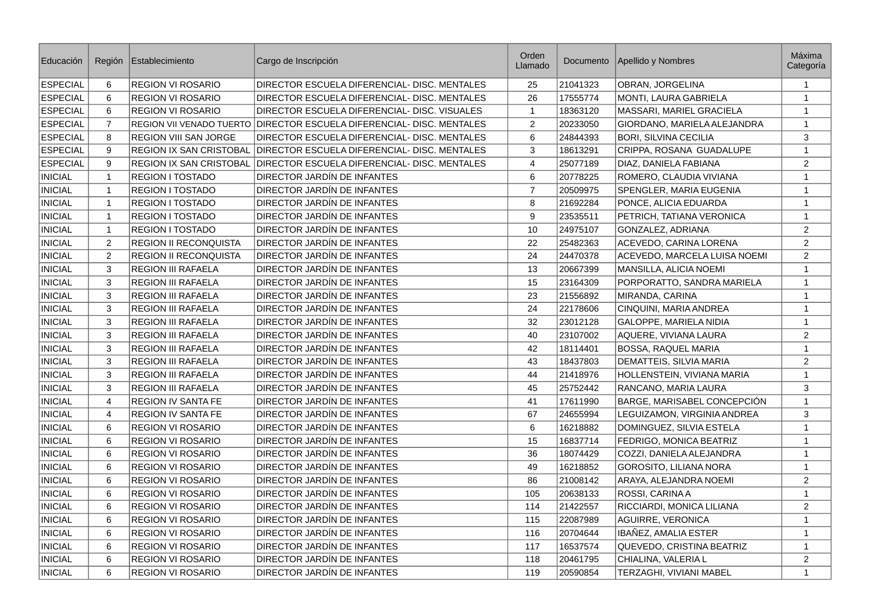| Educación       | Región         | Establecimiento                | Cargo de Inscripción                                                  | Orden<br>Llamado          | Documento | Apellido y Nombres               | Máxima<br>Categoría |
|-----------------|----------------|--------------------------------|-----------------------------------------------------------------------|---------------------------|-----------|----------------------------------|---------------------|
| ESPECIAL        | 6              | <b>REGION VI ROSARIO</b>       | DIRECTOR ESCUELA DIFERENCIAL- DISC. MENTALES                          | 25                        | 21041323  | OBRAN, JORGELINA                 | $\mathbf{1}$        |
| ESPECIAL        | $6\phantom{1}$ | <b>REGION VI ROSARIO</b>       | DIRECTOR ESCUELA DIFERENCIAL- DISC. MENTALES                          | 26                        | 17555774  | <b>MONTI, LAURA GABRIELA</b>     | $\mathbf{1}$        |
| <b>ESPECIAL</b> | 6              | <b>REGION VI ROSARIO</b>       | DIRECTOR ESCUELA DIFERENCIAL- DISC. VISUALES                          | $\mathbf{1}$              | 18363120  | MASSARI, MARIEL GRACIELA         | $\mathbf{1}$        |
| <b>ESPECIAL</b> | $\overline{7}$ |                                | REGION VII VENADO TUERTO DIRECTOR ESCUELA DIFERENCIAL- DISC. MENTALES | 2                         | 20233050  | GIORDANO, MARIELA ALEJANDRA      | 1                   |
| <b>ESPECIAL</b> | 8              | <b>REGION VIII SAN JORGE</b>   | DIRECTOR ESCUELA DIFERENCIAL- DISC. MENTALES                          | 6                         | 24844393  | <b>BORI, SILVINA CECILIA</b>     | 3                   |
| ESPECIAL        | 9              | REGION IX SAN CRISTOBAL        | DIRECTOR ESCUELA DIFERENCIAL- DISC. MENTALES                          | $\ensuremath{\mathsf{3}}$ | 18613291  | CRIPPA, ROSANA GUADALUPE         | $\,1\,$             |
| <b>ESPECIAL</b> | 9              | <b>REGION IX SAN CRISTOBAL</b> | DIRECTOR ESCUELA DIFERENCIAL- DISC. MENTALES                          | $\overline{4}$            | 25077189  | DIAZ, DANIELA FABIANA            | 2                   |
| <b>INICIAL</b>  | $\mathbf{1}$   | <b>REGION I TOSTADO</b>        | DIRECTOR JARDÍN DE INFANTES                                           | 6                         | 20778225  | ROMERO, CLAUDIA VIVIANA          | $\mathbf{1}$        |
| <b>INICIAL</b>  | $\mathbf{1}$   | <b>REGION I TOSTADO</b>        | DIRECTOR JARDÍN DE INFANTES                                           | $\overline{7}$            | 20509975  | SPENGLER, MARIA EUGENIA          | $\mathbf 1$         |
| <b>INICIAL</b>  | 1              | <b>REGION I TOSTADO</b>        | DIRECTOR JARDÍN DE INFANTES                                           | 8                         | 21692284  | PONCE, ALICIA EDUARDA            | $\mathbf{1}$        |
| <b>INICIAL</b>  | $\mathbf{1}$   | <b>REGION I TOSTADO</b>        | DIRECTOR JARDIN DE INFANTES                                           | 9                         | 23535511  | PETRICH, TATIANA VERONICA        | $\mathbf{1}$        |
| <b>INICIAL</b>  | $\mathbf{1}$   | <b>REGION I TOSTADO</b>        | DIRECTOR JARDÍN DE INFANTES                                           | 10                        | 24975107  | GONZALEZ, ADRIANA                | $\sqrt{2}$          |
| <b>INICIAL</b>  | 2              | <b>REGION II RECONOUISTA</b>   | <b>DIRECTOR JARDÍN DE INFANTES</b>                                    | 22                        | 25482363  | ACEVEDO, CARINA LORENA           | 2                   |
| <b>INICIAL</b>  | $\overline{c}$ | <b>REGION II RECONQUISTA</b>   | DIRECTOR JARDÍN DE INFANTES                                           | 24                        | 24470378  | ACEVEDO, MARCELA LUISA NOEMI     | 2                   |
| <b>INICIAL</b>  | 3              | <b>REGION III RAFAELA</b>      | DIRECTOR JARDÍN DE INFANTES                                           | 13                        | 20667399  | MANSILLA, ALICIA NOEMI           | $\mathbf{1}$        |
| <b>INICIAL</b>  | 3              | <b>REGION III RAFAELA</b>      | DIRECTOR JARDÍN DE INFANTES                                           | 15                        | 23164309  | PORPORATTO, SANDRA MARIELA       | $\mathbf{1}$        |
| <b>INICIAL</b>  | 3              | <b>REGION III RAFAELA</b>      | DIRECTOR JARDÍN DE INFANTES                                           | 23                        | 21556892  | MIRANDA, CARINA                  | $\mathbf{1}$        |
| <b>INICIAL</b>  | 3              | <b>REGION III RAFAELA</b>      | DIRECTOR JARDÍN DE INFANTES                                           | 24                        | 22178606  | CINQUINI, MARIA ANDREA           | $\mathbf{1}$        |
| <b>INICIAL</b>  | 3              | <b>REGION III RAFAELA</b>      | DIRECTOR JARDÍN DE INFANTES                                           | 32                        | 23012128  | <b>GALOPPE, MARIELA NIDIA</b>    | $\mathbf 1$         |
| <b>INICIAL</b>  | $\mathsf 3$    | <b>REGION III RAFAELA</b>      | <b>DIRECTOR JARDÍN DE INFANTES</b>                                    | 40                        | 23107002  | AQUERE, VIVIANA LAURA            | $\overline{2}$      |
| <b>INICIAL</b>  | 3              | <b>REGION III RAFAELA</b>      | DIRECTOR JARDÍN DE INFANTES                                           | 42                        | 18114401  | <b>BOSSA, RAQUEL MARIA</b>       | $\mathbf 1$         |
| <b>INICIAL</b>  | 3              | <b>REGION III RAFAELA</b>      | DIRECTOR JARDÍN DE INFANTES                                           | 43                        | 18437803  | DEMATTEIS, SILVIA MARIA          | 2                   |
| <b>INICIAL</b>  | 3              | <b>REGION III RAFAELA</b>      | DIRECTOR JARDÍN DE INFANTES                                           | 44                        | 21418976  | HOLLENSTEIN, VIVIANA MARIA       | $\mathbf{1}$        |
| <b>INICIAL</b>  | 3              | <b>REGION III RAFAELA</b>      | DIRECTOR JARDÍN DE INFANTES                                           | 45                        | 25752442  | RANCANO, MARIA LAURA             | 3                   |
| <b>INICIAL</b>  | $\overline{4}$ | <b>REGION IV SANTA FE</b>      | DIRECTOR JARDÍN DE INFANTES                                           | 41                        | 17611990  | BARGE, MARISABEL CONCEPCIÓN      | $\mathbf{1}$        |
| <b>INICIAL</b>  | $\overline{4}$ | <b>REGION IV SANTA FE</b>      | DIRECTOR JARDÍN DE INFANTES                                           | 67                        | 24655994  | LEGUIZAMON, VIRGINIA ANDREA      | 3                   |
| <b>INICIAL</b>  | 6              | <b>REGION VI ROSARIO</b>       | DIRECTOR JARDÍN DE INFANTES                                           | 6                         | 16218882  | DOMINGUEZ, SILVIA ESTELA         | $\mathbf{1}$        |
| <b>INICIAL</b>  | 6              | <b>REGION VI ROSARIO</b>       | DIRECTOR JARDÍN DE INFANTES                                           | 15                        | 16837714  | FEDRIGO, MONICA BEATRIZ          | $\mathbf{1}$        |
| <b>INICIAL</b>  | 6              | REGION VI ROSARIO              | DIRECTOR JARDÍN DE INFANTES                                           | 36                        | 18074429  | COZZI, DANIELA ALEJANDRA         | $\mathbf{1}$        |
| <b>INICIAL</b>  | 6              | <b>REGION VI ROSARIO</b>       | DIRECTOR JARDÍN DE INFANTES                                           | 49                        | 16218852  | <b>GOROSITO, LILIANA NORA</b>    | $\mathbf{1}$        |
| <b>INICIAL</b>  | 6              | <b>REGION VI ROSARIO</b>       | DIRECTOR JARDÍN DE INFANTES                                           | 86                        | 21008142  | ARAYA, ALEJANDRA NOEMI           | 2                   |
| <b>INICIAL</b>  | 6              | <b>REGION VI ROSARIO</b>       | DIRECTOR JARDÍN DE INFANTES                                           | 105                       | 20638133  | ROSSI, CARINA A                  | $\mathbf{1}$        |
| <b>INICIAL</b>  | 6              | <b>REGION VI ROSARIO</b>       | DIRECTOR JARDÍN DE INFANTES                                           | 114                       | 21422557  | RICCIARDI, MONICA LILIANA        | 2                   |
| <b>INICIAL</b>  | 6              | <b>REGION VI ROSARIO</b>       | DIRECTOR JARDÍN DE INFANTES                                           | 115                       | 22087989  | <b>AGUIRRE, VERONICA</b>         | $\mathbf{1}$        |
| <b>INICIAL</b>  | 6              | <b>REGION VI ROSARIO</b>       | DIRECTOR JARDÍN DE INFANTES                                           | 116                       | 20704644  | IBAÑEZ, AMALIA ESTER             | $\mathbf{1}$        |
| <b>INICIAL</b>  | 6              | <b>REGION VI ROSARIO</b>       | DIRECTOR JARDIN DE INFANTES                                           | 117                       | 16537574  | <b>OUEVEDO, CRISTINA BEATRIZ</b> | $\mathbf{1}$        |
| <b>INICIAL</b>  | 6              | <b>REGION VI ROSARIO</b>       | DIRECTOR JARDÍN DE INFANTES                                           | 118                       | 20461795  | CHIALINA, VALERIA L              | $\overline{2}$      |
| <b>INICIAL</b>  | 6              | <b>REGION VI ROSARIO</b>       | DIRECTOR JARDÍN DE INFANTES                                           | 119                       | 20590854  | TERZAGHI, VIVIANI MABEL          | $\mathbf{1}$        |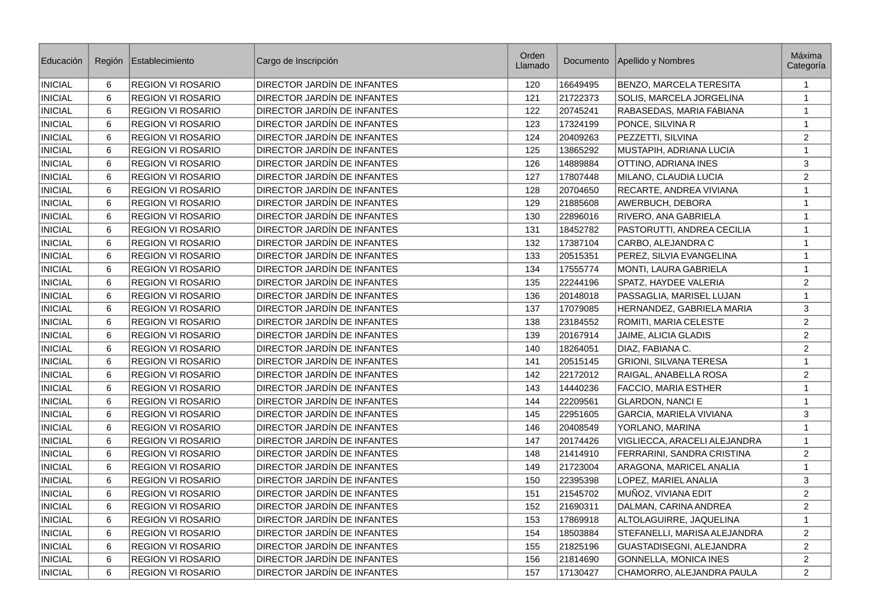| Educación      | Región          | Establecimiento          | Cargo de Inscripción               | Orden<br>Llamado | Documento | Apellido y Nombres           | Máxima<br>Categoría |
|----------------|-----------------|--------------------------|------------------------------------|------------------|-----------|------------------------------|---------------------|
| <b>INICIAL</b> | 6               | <b>REGION VI ROSARIO</b> | DIRECTOR JARDÍN DE INFANTES        | 120              | 16649495  | BENZO, MARCELA TERESITA      | $\mathbf{1}$        |
| <b>INICIAL</b> | 6               | <b>REGION VI ROSARIO</b> | DIRECTOR JARDÍN DE INFANTES        | 121              | 21722373  | SOLIS, MARCELA JORGELINA     | $\mathbf{1}$        |
| <b>INICIAL</b> | 6               | <b>REGION VI ROSARIO</b> | DIRECTOR JARDÍN DE INFANTES        | 122              | 20745241  | RABASEDAS, MARIA FABIANA     | $\mathbf{1}$        |
| <b>INICIAL</b> | 6               | <b>REGION VI ROSARIO</b> | DIRECTOR JARDÍN DE INFANTES        | 123              | 17324199  | PONCE, SILVINA R             | $\mathbf{1}$        |
| <b>INICIAL</b> | 6               | <b>REGION VI ROSARIO</b> | DIRECTOR JARDÍN DE INFANTES        | 124              | 20409263  | PEZZETTI, SILVINA            | $\overline{2}$      |
| <b>INICIAL</b> | 6               | <b>REGION VI ROSARIO</b> | DIRECTOR JARDÍN DE INFANTES        | 125              | 13865292  | MUSTAPIH, ADRIANA LUCIA      | $\mathbf{1}$        |
| <b>INICIAL</b> | 6               | <b>REGION VI ROSARIO</b> | DIRECTOR JARDÍN DE INFANTES        | 126              | 14889884  | OTTINO, ADRIANA INES         | $\mathsf 3$         |
| <b>INICIAL</b> | 6               | <b>REGION VI ROSARIO</b> | DIRECTOR JARDÍN DE INFANTES        | 127              | 17807448  | <b>MILANO, CLAUDIA LUCIA</b> | 2                   |
| <b>INICIAL</b> | 6               | <b>REGION VI ROSARIO</b> | DIRECTOR JARDÍN DE INFANTES        | 128              | 20704650  | RECARTE, ANDREA VIVIANA      | $\mathbf{1}$        |
| <b>INICIAL</b> | 6               | REGION VI ROSARIO        | DIRECTOR JARDÍN DE INFANTES        | 129              | 21885608  | AWERBUCH, DEBORA             | $\mathbf{1}$        |
| <b>INICIAL</b> | 6               | <b>REGION VI ROSARIO</b> | <b>DIRECTOR JARDÍN DE INFANTES</b> | 130              | 22896016  | RIVERO, ANA GABRIELA         | $\mathbf{1}$        |
| <b>INICIAL</b> | 6               | <b>REGION VI ROSARIO</b> | DIRECTOR JARDÍN DE INFANTES        | 131              | 18452782  | PASTORUTTI, ANDREA CECILIA   | $\mathbf{1}$        |
| <b>INICIAL</b> | 6               | <b>REGION VI ROSARIO</b> | DIRECTOR JARDÍN DE INFANTES        | 132              | 17387104  | CARBO, ALEJANDRA C           | $\mathbf{1}$        |
| INICIAL        | 6               | <b>REGION VI ROSARIO</b> | DIRECTOR JARDÍN DE INFANTES        | 133              | 20515351  | PEREZ, SILVIA EVANGELINA     | $\mathbf{1}$        |
| <b>INICIAL</b> | 6               | <b>REGION VI ROSARIO</b> | DIRECTOR JARDÍN DE INFANTES        | 134              | 17555774  | MONTI, LAURA GABRIELA        | $\mathbf{1}$        |
| <b>INICIAL</b> | 6               | <b>REGION VI ROSARIO</b> | DIRECTOR JARDÍN DE INFANTES        | 135              | 22244196  | SPATZ, HAYDEE VALERIA        | $\overline{2}$      |
| <b>INICIAL</b> | 6               | <b>REGION VI ROSARIO</b> | DIRECTOR JARDIN DE INFANTES        | 136              | 20148018  | PASSAGLIA, MARISEL LUJAN     | $\mathbf{1}$        |
| <b>INICIAL</b> | 6               | <b>REGION VI ROSARIO</b> | DIRECTOR JARDÍN DE INFANTES        | 137              | 17079085  | HERNANDEZ, GABRIELA MARIA    | 3                   |
| <b>INICIAL</b> | 6               | <b>REGION VI ROSARIO</b> | DIRECTOR JARDÍN DE INFANTES        | 138              | 23184552  | ROMITI, MARIA CELESTE        | $\overline{c}$      |
| <b>INICIAL</b> | 6               | <b>REGION VI ROSARIO</b> | DIRECTOR JARDÍN DE INFANTES        | 139              | 20167914  | JAIME, ALICIA GLADIS         | $\overline{2}$      |
| <b>INICIAL</b> | 6               | <b>REGION VI ROSARIO</b> | DIRECTOR JARDÍN DE INFANTES        | 140              | 18264051  | DIAZ, FABIANA C.             | $\overline{2}$      |
| <b>INICIAL</b> | 6               | <b>REGION VI ROSARIO</b> | DIRECTOR JARDÍN DE INFANTES        | 141              | 20515145  | GRIONI, SILVANA TERESA       | $\mathbf{1}$        |
| <b>INICIAL</b> | 6               | <b>REGION VI ROSARIO</b> | DIRECTOR JARDÍN DE INFANTES        | 142              | 22172012  | RAIGAL, ANABELLA ROSA        | $\overline{2}$      |
| <b>INICIAL</b> | 6               | <b>REGION VI ROSARIO</b> | DIRECTOR JARDÍN DE INFANTES        | 143              | 14440236  | FACCIO, MARIA ESTHER         | $\mathbf 1$         |
| <b>INICIAL</b> | 6               | <b>REGION VI ROSARIO</b> | DIRECTOR JARDÍN DE INFANTES        | 144              | 22209561  | <b>GLARDON, NANCI E</b>      | $\mathbf{1}$        |
| <b>INICIAL</b> | 6               | <b>REGION VI ROSARIO</b> | DIRECTOR JARDÍN DE INFANTES        | 145              | 22951605  | GARCIA, MARIELA VIVIANA      | $\mathbf{3}$        |
| <b>INICIAL</b> | 6               | <b>REGION VI ROSARIO</b> | DIRECTOR JARDÍN DE INFANTES        | 146              | 20408549  | YORLANO, MARINA              | $\mathbf 1$         |
| <b>INICIAL</b> | 6               | <b>REGION VI ROSARIO</b> | DIRECTOR JARDÍN DE INFANTES        | 147              | 20174426  | VIGLIECCA, ARACELI ALEJANDRA | $\mathbf{1}$        |
| <b>INICIAL</b> | 6               | REGION VI ROSARIO        | DIRECTOR JARDÍN DE INFANTES        | 148              | 21414910  | FERRARINI, SANDRA CRISTINA   | $\overline{2}$      |
| <b>INICIAL</b> | 6               | <b>REGION VI ROSARIO</b> | DIRECTOR JARDÍN DE INFANTES        | 149              | 21723004  | ARAGONA, MARICEL ANALIA      | $\mathbf{1}$        |
| <b>INICIAL</b> | 6               | <b>REGION VI ROSARIO</b> | DIRECTOR JARDÍN DE INFANTES        | 150              | 22395398  | LOPEZ, MARIEL ANALIA         | $\mathbf{3}$        |
| <b>INICIAL</b> | 6               | <b>REGION VI ROSARIO</b> | DIRECTOR JARDÍN DE INFANTES        | 151              | 21545702  | MUÑOZ, VIVIANA EDIT          | $\overline{2}$      |
| <b>INICIAL</b> | 6               | <b>REGION VI ROSARIO</b> | DIRECTOR JARDÍN DE INFANTES        | 152              | 21690311  | DALMAN, CARINA ANDREA        | 2                   |
| <b>INICIAL</b> | $6\phantom{1}6$ | <b>REGION VI ROSARIO</b> | DIRECTOR JARDÍN DE INFANTES        | 153              | 17869918  | ALTOLAGUIRRE, JAQUELINA      | $\mathbf{1}$        |
| <b>INICIAL</b> | 6               | <b>REGION VI ROSARIO</b> | DIRECTOR JARDÍN DE INFANTES        | 154              | 18503884  | STEFANELLI, MARISA ALEJANDRA | $\overline{2}$      |
| <b>INICIAL</b> | 6               | <b>REGION VI ROSARIO</b> | DIRECTOR JARDÍN DE INFANTES        | 155              | 21825196  | GUASTADISEGNI, ALEJANDRA     | 2                   |
| <b>INICIAL</b> | 6               | <b>REGION VI ROSARIO</b> | DIRECTOR JARDÍN DE INFANTES        | 156              | 21814690  | <b>GONNELLA, MONICA INES</b> | $\overline{2}$      |
| <b>INICIAL</b> | 6               | <b>REGION VI ROSARIO</b> | DIRECTOR JARDÍN DE INFANTES        | 157              | 17130427  | CHAMORRO, ALEJANDRA PAULA    | $\overline{c}$      |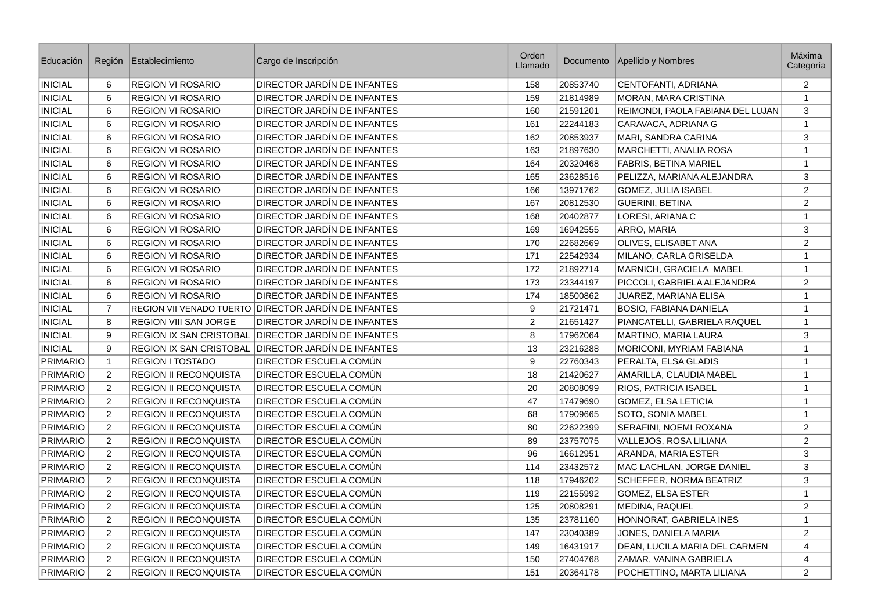| Educación       | Región          | Establecimiento                | Cargo de Inscripción                                 | Orden<br>Llamado |          | Documento   Apellido y Nombres    | Máxima<br>Categoría |
|-----------------|-----------------|--------------------------------|------------------------------------------------------|------------------|----------|-----------------------------------|---------------------|
| <b>INICIAL</b>  | 6               | <b>REGION VI ROSARIO</b>       | DIRECTOR JARDÍN DE INFANTES                          | 158              | 20853740 | CENTOFANTI, ADRIANA               | $\overline{2}$      |
| <b>INICIAL</b>  | 6               | <b>REGION VI ROSARIO</b>       | DIRECTOR JARDÍN DE INFANTES                          | 159              | 21814989 | MORAN, MARA CRISTINA              | $\mathbf 1$         |
| <b>INICIAL</b>  | 6               | <b>REGION VI ROSARIO</b>       | DIRECTOR JARDIN DE INFANTES                          | 160              | 21591201 | REIMONDI, PAOLA FABIANA DEL LUJAN | $\mathbf{3}$        |
| <b>INICIAL</b>  | 6               | <b>REGION VI ROSARIO</b>       | DIRECTOR JARDÍN DE INFANTES                          | 161              | 22244183 | CARAVACA, ADRIANA G               | $\mathbf 1$         |
| <b>INICIAL</b>  | 6               | <b>REGION VI ROSARIO</b>       | DIRECTOR JARDIN DE INFANTES                          | 162              | 20853937 | MARI, SANDRA CARINA               | 3                   |
| <b>INICIAL</b>  | $\,6$           | <b>REGION VI ROSARIO</b>       | DIRECTOR JARDÍN DE INFANTES                          | 163              | 21897630 | MARCHETTI, ANALIA ROSA            | $\mathbf 1$         |
| <b>INICIAL</b>  | $\,6$           | <b>REGION VI ROSARIO</b>       | DIRECTOR JARDÍN DE INFANTES                          | 164              | 20320468 | <b>FABRIS, BETINA MARIEL</b>      | $\mathbf 1$         |
| <b>INICIAL</b>  | 6               | <b>REGION VI ROSARIO</b>       | DIRECTOR JARDÍN DE INFANTES                          | 165              | 23628516 | PELIZZA, MARIANA ALEJANDRA        | 3                   |
| <b>INICIAL</b>  | 6               | <b>REGION VI ROSARIO</b>       | DIRECTOR JARDÍN DE INFANTES                          | 166              | 13971762 | <b>GOMEZ, JULIA ISABEL</b>        | $\overline{c}$      |
| <b>INICIAL</b>  | $6\phantom{1}6$ | <b>REGION VI ROSARIO</b>       | DIRECTOR JARDÍN DE INFANTES                          | 167              | 20812530 | <b>GUERINI, BETINA</b>            | $\overline{c}$      |
| <b>INICIAL</b>  | 6               | <b>REGION VI ROSARIO</b>       | DIRECTOR JARDÍN DE INFANTES                          | 168              | 20402877 | LORESI, ARIANA C                  | $\mathbf{1}$        |
| <b>INICIAL</b>  | 6               | <b>REGION VI ROSARIO</b>       | DIRECTOR JARDÍN DE INFANTES                          | 169              | 16942555 | ARRO, MARIA                       | $\mathbf{3}$        |
| <b>INICIAL</b>  | $6\phantom{1}6$ | <b>REGION VI ROSARIO</b>       | DIRECTOR JARDIN DE INFANTES                          | 170              | 22682669 | OLIVES, ELISABET ANA              | $\overline{c}$      |
| <b>INICIAL</b>  | 6               | <b>REGION VI ROSARIO</b>       | DIRECTOR JARDÍN DE INFANTES                          | 171              | 22542934 | MILANO, CARLA GRISELDA            | $\mathbf{1}$        |
| <b>INICIAL</b>  | 6               | <b>REGION VI ROSARIO</b>       | DIRECTOR JARDÍN DE INFANTES                          | 172              | 21892714 | MARNICH, GRACIELA MABEL           | $\mathbf 1$         |
| <b>INICIAL</b>  | 6               | <b>REGION VI ROSARIO</b>       | DIRECTOR JARDIN DE INFANTES                          | 173              | 23344197 | PICCOLI, GABRIELA ALEJANDRA       | 2                   |
| <b>INICIAL</b>  | 6               | <b>REGION VI ROSARIO</b>       | DIRECTOR JARDÍN DE INFANTES                          | 174              | 18500862 | JUAREZ, MARIANA ELISA             | $\mathbf{1}$        |
| <b>INICIAL</b>  | $\overline{7}$  |                                | REGION VII VENADO TUERTO DIRECTOR JARDÍN DE INFANTES | 9                | 21721471 | <b>BOSIO, FABIANA DANIELA</b>     | $\mathbf 1$         |
| <b>INICIAL</b>  | 8               | REGION VIII SAN JORGE          | DIRECTOR JARDIN DE INFANTES                          | $\overline{c}$   | 21651427 | PIANCATELLI, GABRIELA RAQUEL      | $\mathbf 1$         |
| <b>INICIAL</b>  | 9               | <b>REGION IX SAN CRISTOBAL</b> | DIRECTOR JARDÍN DE INFANTES                          | 8                | 17962064 | MARTINO, MARIA LAURA              | 3                   |
| <b>INICIAL</b>  | 9               | <b>REGION IX SAN CRISTOBAL</b> | DIRECTOR JARDÍN DE INFANTES                          | 13               | 23216288 | MORICONI, MYRIAM FABIANA          | $\mathbf 1$         |
| <b>PRIMARIO</b> | $\mathbf{1}$    | REGION I TOSTADO               | DIRECTOR ESCUELA COMÚN                               | 9                | 22760343 | PERALTA, ELSA GLADIS              | $\mathbf{1}$        |
| <b>PRIMARIO</b> | $\overline{c}$  | <b>REGION II RECONQUISTA</b>   | <b>DIRECTOR ESCUELA COMÚN</b>                        | 18               | 21420627 | AMARILLA, CLAUDIA MABEL           | $\mathbf{1}$        |
| PRIMARIO        | $\overline{c}$  | <b>REGION II RECONQUISTA</b>   | <b>DIRECTOR ESCUELA COMÚN</b>                        | 20               | 20808099 | RIOS, PATRICIA ISABEL             | $\mathbf{1}$        |
| <b>PRIMARIO</b> | $\mathbf{2}$    | <b>REGION II RECONQUISTA</b>   | DIRECTOR ESCUELA COMÚN                               | 47               | 17479690 | GOMEZ, ELSA LETICIA               | $\,1\,$             |
| PRIMARIO        | $\overline{c}$  | <b>REGION II RECONQUISTA</b>   | DIRECTOR ESCUELA COMÚN                               | 68               | 17909665 | SOTO, SONIA MABEL                 | $\mathbf{1}$        |
| PRIMARIO        | $\overline{c}$  | <b>REGION II RECONQUISTA</b>   | DIRECTOR ESCUELA COMÚN                               | 80               | 22622399 | SERAFINI, NOEMI ROXANA            | $\overline{2}$      |
| <b>PRIMARIO</b> | $\mathbf{2}$    | <b>REGION II RECONQUISTA</b>   | DIRECTOR ESCUELA COMÚN                               | 89               | 23757075 | VALLEJOS, ROSA LILIANA            | $\overline{2}$      |
| <b>PRIMARIO</b> | $\overline{2}$  | <b>REGION II RECONQUISTA</b>   | DIRECTOR ESCUELA COMÚN                               | 96               | 16612951 | ARANDA, MARIA ESTER               | $\mathbf{3}$        |
| PRIMARIO        | $\overline{c}$  | <b>REGION II RECONQUISTA</b>   | <b>DIRECTOR ESCUELA COMÚN</b>                        | 114              | 23432572 | MAC LACHLAN, JORGE DANIEL         | $\mathbf{3}$        |
| PRIMARIO        | $\overline{c}$  | <b>REGION II RECONQUISTA</b>   | DIRECTOR ESCUELA COMÚN                               | 118              | 17946202 | SCHEFFER, NORMA BEATRIZ           | $\mathbf{3}$        |
| PRIMARIO        | $\overline{c}$  | REGION II RECONQUISTA          | DIRECTOR ESCUELA COMÚN                               | 119              | 22155992 | GOMEZ, ELSA ESTER                 | $\mathbf{1}$        |
| PRIMARIO        | $\overline{c}$  | <b>REGION II RECONQUISTA</b>   | DIRECTOR ESCUELA COMÚN                               | 125              | 20808291 | <b>MEDINA, RAQUEL</b>             | $\overline{c}$      |
| <b>PRIMARIO</b> | $\overline{c}$  | REGION II RECONQUISTA          | DIRECTOR ESCUELA COMÚN                               | 135              | 23781160 | HONNORAT, GABRIELA INES           | $\mathbf{1}$        |
| PRIMARIO        | $\overline{c}$  | <b>REGION II RECONQUISTA</b>   | DIRECTOR ESCUELA COMÚN                               | 147              | 23040389 | JONES, DANIELA MARIA              | 2                   |
| PRIMARIO        | $\overline{c}$  | <b>REGION II RECONQUISTA</b>   | <b>DIRECTOR ESCUELA COMÚN</b>                        | 149              | 16431917 | DEAN, LUCILA MARIA DEL CARMEN     | $\overline{4}$      |
| <b>PRIMARIO</b> | $\mathbf{2}$    | <b>REGION II RECONQUISTA</b>   | DIRECTOR ESCUELA COMÚN                               | 150              | 27404768 | ZAMAR, VANINA GABRIELA            | $\overline{4}$      |
| PRIMARIO        | $\mathbf{2}$    | REGION II RECONQUISTA          | DIRECTOR ESCUELA COMÚN                               | 151              | 20364178 | POCHETTINO, MARTA LILIANA         | 2                   |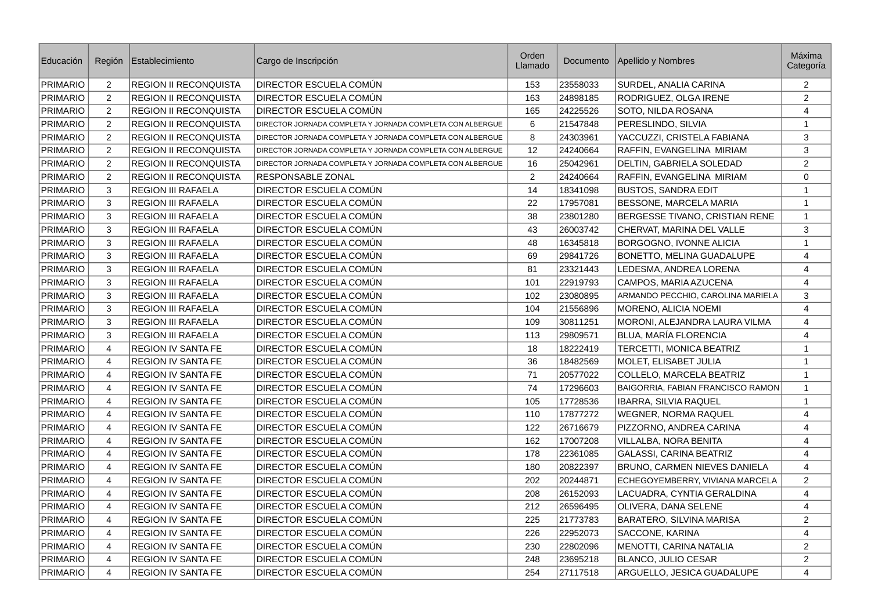| Educación       | Región                    | Establecimiento              | Cargo de Inscripción                                      | Orden<br>Llamado | Documento | Apellido y Nombres                | <b>Máxima</b><br>Categoría |
|-----------------|---------------------------|------------------------------|-----------------------------------------------------------|------------------|-----------|-----------------------------------|----------------------------|
| <b>PRIMARIO</b> | $\overline{2}$            | REGION II RECONQUISTA        | DIRECTOR ESCUELA COMÚN                                    | 153              | 23558033  | SURDEL, ANALIA CARINA             | 2                          |
| <b>PRIMARIO</b> | $\overline{c}$            | <b>REGION II RECONQUISTA</b> | DIRECTOR ESCUELA COMÚN                                    | 163              | 24898185  | RODRIGUEZ, OLGA IRENE             | 2                          |
| <b>PRIMARIO</b> | $\overline{c}$            | <b>REGION II RECONQUISTA</b> | DIRECTOR ESCUELA COMÚN                                    | 165              | 24225526  | SOTO, NILDA ROSANA                | 4                          |
| PRIMARIO        | $\overline{c}$            | <b>REGION II RECONQUISTA</b> | DIRECTOR JORNADA COMPLETA Y JORNADA COMPLETA CON ALBERGUE | 6                | 21547848  | PERESLINDO, SILVIA                | $\mathbf{1}$               |
| PRIMARIO        | $\overline{2}$            | <b>REGION II RECONQUISTA</b> | DIRECTOR JORNADA COMPLETA Y JORNADA COMPLETA CON ALBERGUE | 8                | 24303961  | YACCUZZI, CRISTELA FABIANA        | 3                          |
| PRIMARIO        | $\overline{c}$            | REGION II RECONQUISTA        | DIRECTOR JORNADA COMPLETA Y JORNADA COMPLETA CON ALBERGUE | 12               | 24240664  | RAFFIN, EVANGELINA MIRIAM         | $\mathsf 3$                |
| PRIMARIO        | $\overline{c}$            | <b>REGION II RECONQUISTA</b> | DIRECTOR JORNADA COMPLETA Y JORNADA COMPLETA CON ALBERGUE | 16               | 25042961  | DELTIN, GABRIELA SOLEDAD          | $\overline{c}$             |
| PRIMARIO        | $\overline{c}$            | REGION II RECONQUISTA        | RESPONSABLE ZONAL                                         | $\overline{2}$   | 24240664  | RAFFIN, EVANGELINA MIRIAM         | $\mathbf 0$                |
| PRIMARIO        | $\ensuremath{\mathsf{3}}$ | REGION III RAFAELA           | DIRECTOR ESCUELA COMÚN                                    | 14               | 18341098  | <b>BUSTOS, SANDRA EDIT</b>        | $\mathbf 1$                |
| <b>PRIMARIO</b> | 3                         | <b>REGION III RAFAELA</b>    | DIRECTOR ESCUELA COMÚN                                    | 22               | 17957081  | BESSONE, MARCELA MARIA            | $\mathbf{1}$               |
| <b>PRIMARIO</b> | 3                         | <b>REGION III RAFAELA</b>    | DIRECTOR ESCUELA COMÚN                                    | 38               | 23801280  | BERGESSE TIVANO, CRISTIAN RENE    | $\mathbf{1}$               |
| <b>PRIMARIO</b> | 3                         | <b>REGION III RAFAELA</b>    | DIRECTOR ESCUELA COMÚN                                    | 43               | 26003742  | CHERVAT, MARINA DEL VALLE         | 3                          |
| <b>PRIMARIO</b> | 3                         | <b>REGION III RAFAELA</b>    | DIRECTOR ESCUELA COMÚN                                    | 48               | 16345818  | BORGOGNO, IVONNE ALICIA           | $\mathbf{1}$               |
| PRIMARIO        | 3                         | <b>REGION III RAFAELA</b>    | DIRECTOR ESCUELA COMÚN                                    | 69               | 29841726  | BONETTO, MELINA GUADALUPE         | $\overline{4}$             |
| <b>PRIMARIO</b> | 3                         | <b>REGION III RAFAELA</b>    | DIRECTOR ESCUELA COMÚN                                    | 81               | 23321443  | LEDESMA, ANDREA LORENA            | $\overline{4}$             |
| PRIMARIO        | 3                         | <b>REGION III RAFAELA</b>    | DIRECTOR ESCUELA COMÚN                                    | 101              | 22919793  | CAMPOS, MARIA AZUCENA             | $\overline{4}$             |
| PRIMARIO        | 3                         | <b>REGION III RAFAELA</b>    | DIRECTOR ESCUELA COMÚN                                    | 102              | 23080895  | ARMANDO PECCHIO, CAROLINA MARIELA | 3                          |
| PRIMARIO        | $\mathbf{3}$              | <b>REGION III RAFAELA</b>    | DIRECTOR ESCUELA COMÚN                                    | 104              | 21556896  | <b>MORENO, ALICIA NOEMI</b>       | $\overline{4}$             |
| PRIMARIO        | 3                         | <b>REGION III RAFAELA</b>    | DIRECTOR ESCUELA COMÚN                                    | 109              | 30811251  | MORONI, ALEJANDRA LAURA VILMA     | $\overline{4}$             |
| PRIMARIO        | 3                         | <b>REGION III RAFAELA</b>    | DIRECTOR ESCUELA COMÚN                                    | 113              | 29809571  | BLUA, MARÍA FLORENCIA             | 4                          |
| PRIMARIO        | $\overline{4}$            | <b>REGION IV SANTA FE</b>    | DIRECTOR ESCUELA COMÚN                                    | 18               | 18222419  | TERCETTI, MONICA BEATRIZ          | $\mathbf{1}$               |
| <b>PRIMARIO</b> | 4                         | <b>REGION IV SANTA FE</b>    | DIRECTOR ESCUELA COMÚN                                    | 36               | 18482569  | MOLET, ELISABET JULIA             | $\mathbf{1}$               |
| PRIMARIO        | 4                         | <b>REGION IV SANTA FE</b>    | DIRECTOR ESCUELA COMÚN                                    | 71               | 20577022  | COLLELO, MARCELA BEATRIZ          | $\mathbf{1}$               |
| PRIMARIO        | $\overline{4}$            | <b>REGION IV SANTA FE</b>    | DIRECTOR ESCUELA COMÚN                                    | 74               | 17296603  | BAIGORRIA, FABIAN FRANCISCO RAMON | $\mathbf{1}$               |
| <b>PRIMARIO</b> | 4                         | <b>REGION IV SANTA FE</b>    | DIRECTOR ESCUELA COMÚN                                    | 105              | 17728536  | IBARRA, SILVIA RAQUEL             | $\mathbf{1}$               |
| <b>PRIMARIO</b> | 4                         | <b>REGION IV SANTA FE</b>    | DIRECTOR ESCUELA COMÚN                                    | 110              | 17877272  | <b>WEGNER, NORMA RAQUEL</b>       | $\overline{4}$             |
| PRIMARIO        | $\overline{4}$            | <b>REGION IV SANTA FE</b>    | DIRECTOR ESCUELA COMÚN                                    | 122              | 26716679  | PIZZORNO, ANDREA CARINA           | $\overline{4}$             |
| PRIMARIO        | 4                         | <b>REGION IV SANTA FE</b>    | DIRECTOR ESCUELA COMÚN                                    | 162              | 17007208  | VILLALBA, NORA BENITA             | 4                          |
| <b>PRIMARIO</b> | 4                         | <b>REGION IV SANTA FE</b>    | DIRECTOR ESCUELA COMÚN                                    | 178              | 22361085  | <b>GALASSI, CARINA BEATRIZ</b>    | 4                          |
| PRIMARIO        | $\sqrt{4}$                | <b>REGION IV SANTA FE</b>    | DIRECTOR ESCUELA COMÚN                                    | 180              | 20822397  | BRUNO, CARMEN NIEVES DANIELA      | $\overline{4}$             |
| <b>PRIMARIO</b> | 4                         | <b>REGION IV SANTA FE</b>    | DIRECTOR ESCUELA COMÚN                                    | 202              | 20244871  | ECHEGOYEMBERRY, VIVIANA MARCELA   | 2                          |
| <b>PRIMARIO</b> | $\overline{4}$            | <b>REGION IV SANTA FE</b>    | DIRECTOR ESCUELA COMÚN                                    | 208              | 26152093  | LACUADRA, CYNTIA GERALDINA        | $\overline{4}$             |
| PRIMARIO        | $\pmb{4}$                 | <b>REGION IV SANTA FE</b>    | DIRECTOR ESCUELA COMÚN                                    | 212              | 26596495  | OLIVERA, DANA SELENE              | $\overline{4}$             |
| <b>PRIMARIO</b> | 4                         | <b>REGION IV SANTA FE</b>    | DIRECTOR ESCUELA COMÚN                                    | 225              | 21773783  | BARATERO, SILVINA MARISA          | 2                          |
| <b>PRIMARIO</b> | $\overline{4}$            | <b>REGION IV SANTA FE</b>    | DIRECTOR ESCUELA COMÚN                                    | 226              | 22952073  | SACCONE, KARINA                   | $\overline{4}$             |
| PRIMARIO        | $\overline{4}$            | <b>REGION IV SANTA FE</b>    | DIRECTOR ESCUELA COMÚN                                    | 230              | 22802096  | MENOTTI, CARINA NATALIA           | 2                          |
| PRIMARIO        | 4                         | <b>REGION IV SANTA FE</b>    | DIRECTOR ESCUELA COMÚN                                    | 248              | 23695218  | BLANCO, JULIO CESAR               | $\overline{c}$             |
| <b>PRIMARIO</b> | $\overline{4}$            | <b>REGION IV SANTA FE</b>    | DIRECTOR ESCUELA COMÚN                                    | 254              | 27117518  | ARGUELLO, JESICA GUADALUPE        | $\overline{4}$             |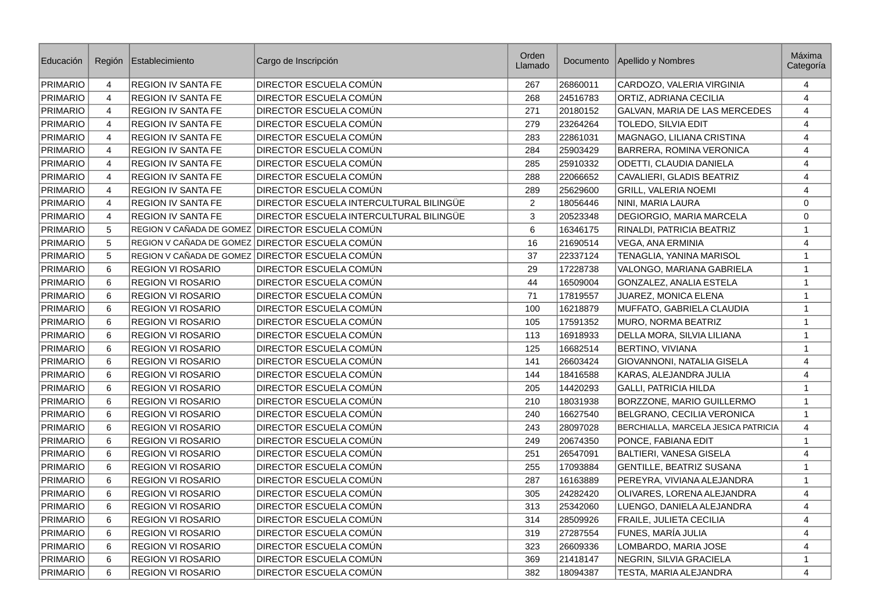| Educación       | Región         | Establecimiento           | Cargo de Inscripción                            | Orden<br>Llamado |          | Documento   Apellido y Nombres      | Máxima<br>Categoría |
|-----------------|----------------|---------------------------|-------------------------------------------------|------------------|----------|-------------------------------------|---------------------|
| PRIMARIO        | 4              | <b>REGION IV SANTA FE</b> | DIRECTOR ESCUELA COMÚN                          | 267              | 26860011 | CARDOZO, VALERIA VIRGINIA           | 4                   |
| PRIMARIO        | $\overline{4}$ | <b>REGION IV SANTA FE</b> | DIRECTOR ESCUELA COMÚN                          | 268              | 24516783 | ORTIZ, ADRIANA CECILIA              | $\overline{4}$      |
| <b>PRIMARIO</b> | 4              | <b>REGION IV SANTA FE</b> | DIRECTOR ESCUELA COMÚN                          | 271              | 20180152 | GALVAN, MARIA DE LAS MERCEDES       | 4                   |
| <b>PRIMARIO</b> | $\overline{4}$ | REGION IV SANTA FE        | DIRECTOR ESCUELA COMÚN                          | 279              | 23264264 | TOLEDO, SILVIA EDIT                 | $\overline{4}$      |
| <b>PRIMARIO</b> | 4              | <b>REGION IV SANTA FE</b> | DIRECTOR ESCUELA COMÚN                          | 283              | 22861031 | MAGNAGO, LILIANA CRISTINA           | 4                   |
| <b>PRIMARIO</b> | $\overline{4}$ | REGION IV SANTA FE        | DIRECTOR ESCUELA COMÚN                          | 284              | 25903429 | BARRERA, ROMINA VERONICA            | 4                   |
| <b>PRIMARIO</b> | 4              | <b>REGION IV SANTA FE</b> | DIRECTOR ESCUELA COMÚN                          | 285              | 25910332 | ODETTI, CLAUDIA DANIELA             | 4                   |
| <b>PRIMARIO</b> | $\overline{4}$ | <b>REGION IV SANTA FE</b> | DIRECTOR ESCUELA COMÚN                          | 288              | 22066652 | CAVALIERI, GLADIS BEATRIZ           | 4                   |
| <b>PRIMARIO</b> | $\overline{4}$ | <b>REGION IV SANTA FE</b> | DIRECTOR ESCUELA COMÚN                          | 289              | 25629600 | <b>GRILL, VALERIA NOEMI</b>         | 4                   |
| <b>PRIMARIO</b> | $\overline{4}$ | REGION IV SANTA FE        | DIRECTOR ESCUELA INTERCULTURAL BILINGÜE         | $\overline{c}$   | 18056446 | NINI, MARIA LAURA                   | 0                   |
| <b>PRIMARIO</b> | $\overline{4}$ | <b>REGION IV SANTA FE</b> | DIRECTOR ESCUELA INTERCULTURAL BILINGÜE         | 3                | 20523348 | DEGIORGIO, MARIA MARCELA            | $\mathbf 0$         |
| PRIMARIO        | 5              |                           | REGION V CAÑADA DE GOMEZ DIRECTOR ESCUELA COMÚN | 6                | 16346175 | RINALDI, PATRICIA BEATRIZ           | $\mathbf{1}$        |
| <b>PRIMARIO</b> | 5              |                           | REGION V CAÑADA DE GOMEZ DIRECTOR ESCUELA COMÚN | 16               | 21690514 | <b>VEGA, ANA ERMINIA</b>            | $\overline{4}$      |
| <b>PRIMARIO</b> | 5              |                           | REGION V CAÑADA DE GOMEZ DIRECTOR ESCUELA COMÚN | 37               | 22337124 | TENAGLIA, YANINA MARISOL            | $\mathbf{1}$        |
| <b>PRIMARIO</b> | 6              | <b>REGION VI ROSARIO</b>  | DIRECTOR ESCUELA COMÚN                          | 29               | 17228738 | VALONGO, MARIANA GABRIELA           | $\mathbf{1}$        |
| <b>PRIMARIO</b> | 6              | <b>REGION VI ROSARIO</b>  | DIRECTOR ESCUELA COMÚN                          | 44               | 16509004 | <b>GONZALEZ, ANALIA ESTELA</b>      | $\mathbf{1}$        |
| <b>PRIMARIO</b> | 6              | <b>REGION VI ROSARIO</b>  | DIRECTOR ESCUELA COMÚN                          | 71               | 17819557 | <b>JUAREZ, MONICA ELENA</b>         | $\mathbf{1}$        |
| PRIMARIO        | 6              | <b>REGION VI ROSARIO</b>  | DIRECTOR ESCUELA COMÚN                          | 100              | 16218879 | MUFFATO, GABRIELA CLAUDIA           | $\mathbf{1}$        |
| <b>PRIMARIO</b> | 6              | <b>REGION VI ROSARIO</b>  | DIRECTOR ESCUELA COMÚN                          | 105              | 17591352 | <b>MURO, NORMA BEATRIZ</b>          | $\mathbf{1}$        |
| PRIMARIO        | 6              | <b>REGION VI ROSARIO</b>  | DIRECTOR ESCUELA COMÚN                          | 113              | 16918933 | DELLA MORA, SILVIA LILIANA          | $\mathbf{1}$        |
| PRIMARIO        | 6              | <b>REGION VI ROSARIO</b>  | DIRECTOR ESCUELA COMÚN                          | 125              | 16682514 | <b>BERTINO, VIVIANA</b>             | $\mathbf{1}$        |
| PRIMARIO        | 6              | REGION VI ROSARIO         | DIRECTOR ESCUELA COMÚN                          | 141              | 26603424 | GIOVANNONI, NATALIA GISELA          | 4                   |
| PRIMARIO        | 6              | <b>REGION VI ROSARIO</b>  | DIRECTOR ESCUELA COMUN                          | 144              | 18416588 | KARAS, ALEJANDRA JULIA              | $\overline{4}$      |
| PRIMARIO        | 6              | REGION VI ROSARIO         | DIRECTOR ESCUELA COMÚN                          | 205              | 14420293 | <b>GALLI, PATRICIA HILDA</b>        | $\mathbf{1}$        |
| <b>PRIMARIO</b> | 6              | <b>REGION VI ROSARIO</b>  | DIRECTOR ESCUELA COMÚN                          | 210              | 18031938 | BORZZONE, MARIO GUILLERMO           | $\mathbf{1}$        |
| <b>PRIMARIO</b> | 6              | <b>REGION VI ROSARIO</b>  | DIRECTOR ESCUELA COMÚN                          | 240              | 16627540 | BELGRANO, CECILIA VERONICA          | $\mathbf{1}$        |
| <b>PRIMARIO</b> | 6              | <b>REGION VI ROSARIO</b>  | DIRECTOR ESCUELA COMÚN                          | 243              | 28097028 | BERCHIALLA, MARCELA JESICA PATRICIA | $\overline{4}$      |
| <b>PRIMARIO</b> | 6              | <b>REGION VI ROSARIO</b>  | DIRECTOR ESCUELA COMÚN                          | 249              | 20674350 | PONCE, FABIANA EDIT                 | $\mathbf{1}$        |
| <b>PRIMARIO</b> | 6              | REGION VI ROSARIO         | DIRECTOR ESCUELA COMÚN                          | 251              | 26547091 | <b>BALTIERI, VANESA GISELA</b>      | 4                   |
| <b>PRIMARIO</b> | 6              | <b>REGION VI ROSARIO</b>  | DIRECTOR ESCUELA COMÚN                          | 255              | 17093884 | <b>GENTILLE, BEATRIZ SUSANA</b>     | $\mathbf{1}$        |
| <b>PRIMARIO</b> | 6              | <b>REGION VI ROSARIO</b>  | DIRECTOR ESCUELA COMÚN                          | 287              | 16163889 | PEREYRA, VIVIANA ALEJANDRA          | $\mathbf{1}$        |
| <b>PRIMARIO</b> | 6              | <b>REGION VI ROSARIO</b>  | DIRECTOR ESCUELA COMÚN                          | 305              | 24282420 | OLIVARES, LORENA ALEJANDRA          | $\overline{4}$      |
| <b>PRIMARIO</b> | 6              | <b>REGION VI ROSARIO</b>  | DIRECTOR ESCUELA COMÚN                          | 313              | 25342060 | LUENGO, DANIELA ALEJANDRA           | $\overline{4}$      |
| <b>PRIMARIO</b> | 6              | <b>REGION VI ROSARIO</b>  | DIRECTOR ESCUELA COMÚN                          | 314              | 28509926 | FRAILE, JULIETA CECILIA             | 4                   |
| <b>PRIMARIO</b> | 6              | REGION VI ROSARIO         | DIRECTOR ESCUELA COMÚN                          | 319              | 27287554 | FUNES, MARÍA JULIA                  | $\overline{4}$      |
| PRIMARIO        | 6              | <b>REGION VI ROSARIO</b>  | DIRECTOR ESCUELA COMÚN                          | 323              | 26609336 | LOMBARDO, MARIA JOSE                | $\overline{4}$      |
| <b>PRIMARIO</b> | $\,6\,$        | <b>REGION VI ROSARIO</b>  | DIRECTOR ESCUELA COMÚN                          | 369              | 21418147 | NEGRIN, SILVIA GRACIELA             | $\mathbf{1}$        |
| PRIMARIO        | 6              | <b>REGION VI ROSARIO</b>  | DIRECTOR ESCUELA COMÚN                          | 382              | 18094387 | TESTA, MARIA ALEJANDRA              | $\overline{4}$      |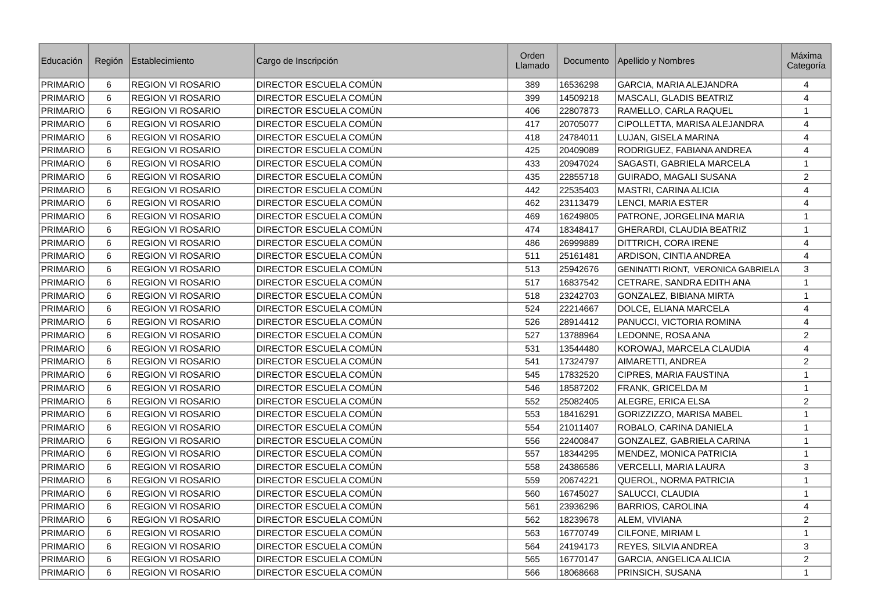| Educación       | Región         | Establecimiento          | Cargo de Inscripción   | Orden<br>Llamado | Documento | Apellido y Nombres                 | <b>Máxima</b><br>Categoría |
|-----------------|----------------|--------------------------|------------------------|------------------|-----------|------------------------------------|----------------------------|
| <b>PRIMARIO</b> | 6              | <b>REGION VI ROSARIO</b> | DIRECTOR ESCUELA COMÚN | 389              | 16536298  | GARCIA, MARIA ALEJANDRA            | 4                          |
| <b>PRIMARIO</b> | 6              | REGION VI ROSARIO        | DIRECTOR ESCUELA COMÚN | 399              | 14509218  | MASCALI, GLADIS BEATRIZ            | $\overline{4}$             |
| <b>PRIMARIO</b> | 6              | <b>REGION VI ROSARIO</b> | DIRECTOR ESCUELA COMÚN | 406              | 22807873  | RAMELLO, CARLA RAQUEL              | $\mathbf{1}$               |
| <b>PRIMARIO</b> | 6              | <b>REGION VI ROSARIO</b> | DIRECTOR ESCUELA COMÚN | 417              | 20705077  | CIPOLLETTA, MARISA ALEJANDRA       | $\overline{4}$             |
| <b>PRIMARIO</b> | $\,6\,$        | REGION VI ROSARIO        | DIRECTOR ESCUELA COMÚN | 418              | 24784011  | LUJAN, GISELA MARINA               | $\overline{4}$             |
| PRIMARIO        | 6              | REGION VI ROSARIO        | DIRECTOR ESCUELA COMÚN | 425              | 20409089  | RODRIGUEZ, FABIANA ANDREA          | $\overline{4}$             |
| PRIMARIO        | 6              | <b>REGION VI ROSARIO</b> | DIRECTOR ESCUELA COMÚN | 433              | 20947024  | SAGASTI, GABRIELA MARCELA          | $\mathbf{1}$               |
| PRIMARIO        | 6              | REGION VI ROSARIO        | DIRECTOR ESCUELA COMÚN | 435              | 22855718  | GUIRADO, MAGALI SUSANA             | $\overline{2}$             |
| PRIMARIO        | 6              | <b>REGION VI ROSARIO</b> | DIRECTOR ESCUELA COMÚN | 442              | 22535403  | MASTRI, CARINA ALICIA              | 4                          |
| <b>PRIMARIO</b> | 6              | <b>REGION VI ROSARIO</b> | DIRECTOR ESCUELA COMÚN | 462              | 23113479  | LENCI, MARIA ESTER                 | 4                          |
| PRIMARIO        | 6              | <b>REGION VI ROSARIO</b> | DIRECTOR ESCUELA COMÚN | 469              | 16249805  | PATRONE, JORGELINA MARIA           | $\mathbf{1}$               |
| PRIMARIO        | 6              | <b>REGION VI ROSARIO</b> | DIRECTOR ESCUELA COMÚN | 474              | 18348417  | GHERARDI, CLAUDIA BEATRIZ          | $\mathbf{1}$               |
| <b>PRIMARIO</b> | 6              | REGION VI ROSARIO        | DIRECTOR ESCUELA COMÚN | 486              | 26999889  | DITTRICH, CORA IRENE               | $\overline{4}$             |
| <b>PRIMARIO</b> | 6              | <b>REGION VI ROSARIO</b> | DIRECTOR ESCUELA COMÚN | 511              | 25161481  | ARDISON, CINTIA ANDREA             | $\overline{4}$             |
| PRIMARIO        | 6              | <b>REGION VI ROSARIO</b> | DIRECTOR ESCUELA COMÚN | 513              | 25942676  | GENINATTI RIONT, VERONICA GABRIELA | 3                          |
| <b>PRIMARIO</b> | 6              | REGION VI ROSARIO        | DIRECTOR ESCUELA COMÚN | 517              | 16837542  | CETRARE, SANDRA EDITH ANA          | $\mathbf{1}$               |
| PRIMARIO        | 6              | <b>REGION VI ROSARIO</b> | DIRECTOR ESCUELA COMÚN | 518              | 23242703  | GONZALEZ, BIBIANA MIRTA            | $\mathbf{1}$               |
| PRIMARIO        | 6              | <b>REGION VI ROSARIO</b> | DIRECTOR ESCUELA COMÚN | 524              | 22214667  | DOLCE, ELIANA MARCELA              | $\overline{4}$             |
| <b>PRIMARIO</b> | 6              | <b>REGION VI ROSARIO</b> | DIRECTOR ESCUELA COMÚN | 526              | 28914412  | PANUCCI, VICTORIA ROMINA           | $\overline{4}$             |
| PRIMARIO        | 6              | <b>REGION VI ROSARIO</b> | DIRECTOR ESCUELA COMÚN | 527              | 13788964  | LEDONNE, ROSA ANA                  | 2                          |
| <b>PRIMARIO</b> | 6              | REGION VI ROSARIO        | DIRECTOR ESCUELA COMÚN | 531              | 13544480  | KOROWAJ, MARCELA CLAUDIA           | $\overline{4}$             |
| PRIMARIO        | 6              | <b>REGION VI ROSARIO</b> | DIRECTOR ESCUELA COMÚN | 541              | 17324797  | AIMARETTI, ANDREA                  | 2                          |
| PRIMARIO        | 6              | <b>REGION VI ROSARIO</b> | DIRECTOR ESCUELA COMÚN | 545              | 17832520  | CIPRES, MARIA FAUSTINA             | $\mathbf{1}$               |
| <b>PRIMARIO</b> | 6              | <b>REGION VI ROSARIO</b> | DIRECTOR ESCUELA COMÚN | 546              | 18587202  | FRANK, GRICELDA M                  | $\mathbf{1}$               |
| <b>PRIMARIO</b> | $6\phantom{1}$ | <b>REGION VI ROSARIO</b> | DIRECTOR ESCUELA COMÚN | 552              | 25082405  | ALEGRE, ERICA ELSA                 | $\overline{c}$             |
| <b>PRIMARIO</b> | 6              | <b>REGION VI ROSARIO</b> | DIRECTOR ESCUELA COMÚN | 553              | 18416291  | GORIZZIZZO, MARISA MABEL           | $\mathbf{1}$               |
| <b>PRIMARIO</b> | 6              | <b>REGION VI ROSARIO</b> | DIRECTOR ESCUELA COMÚN | 554              | 21011407  | ROBALO, CARINA DANIELA             | $\mathbf{1}$               |
| PRIMARIO        | $6\phantom{1}$ | <b>REGION VI ROSARIO</b> | DIRECTOR ESCUELA COMÚN | 556              | 22400847  | GONZALEZ, GABRIELA CARINA          | $\mathbf{1}$               |
| PRIMARIO        | 6              | <b>REGION VI ROSARIO</b> | DIRECTOR ESCUELA COMÚN | 557              | 18344295  | MENDEZ, MONICA PATRICIA            | $\mathbf{1}$               |
| PRIMARIO        | 6              | <b>REGION VI ROSARIO</b> | DIRECTOR ESCUELA COMÚN | 558              | 24386586  | <b>VERCELLI, MARIA LAURA</b>       | 3                          |
| <b>PRIMARIO</b> | $\,6\,$        | <b>REGION VI ROSARIO</b> | DIRECTOR ESCUELA COMÚN | 559              | 20674221  | QUEROL, NORMA PATRICIA             | $\,1\,$                    |
| <b>PRIMARIO</b> | 6              | <b>REGION VI ROSARIO</b> | DIRECTOR ESCUELA COMÚN | 560              | 16745027  | SALUCCI, CLAUDIA                   | $\mathbf{1}$               |
| PRIMARIO        | 6              | <b>REGION VI ROSARIO</b> | DIRECTOR ESCUELA COMÚN | 561              | 23936296  | <b>BARRIOS, CAROLINA</b>           | 4                          |
| <b>PRIMARIO</b> | 6              | REGION VI ROSARIO        | DIRECTOR ESCUELA COMÚN | 562              | 18239678  | ALEM, VIVIANA                      | $\overline{2}$             |
| <b>PRIMARIO</b> | 6              | <b>REGION VI ROSARIO</b> | DIRECTOR ESCUELA COMÚN | 563              | 16770749  | CILFONE, MIRIAM L                  | $\mathbf{1}$               |
| PRIMARIO        | 6              | <b>REGION VI ROSARIO</b> | DIRECTOR ESCUELA COMÚN | 564              | 24194173  | REYES, SILVIA ANDREA               | 3                          |
| PRIMARIO        | 6              | <b>REGION VI ROSARIO</b> | DIRECTOR ESCUELA COMÚN | 565              | 16770147  | GARCIA, ANGELICA ALICIA            | $\overline{2}$             |
| <b>PRIMARIO</b> | 6              | <b>REGION VI ROSARIO</b> | DIRECTOR ESCUELA COMÚN | 566              | 18068668  | PRINSICH, SUSANA                   | $\mathbf 1$                |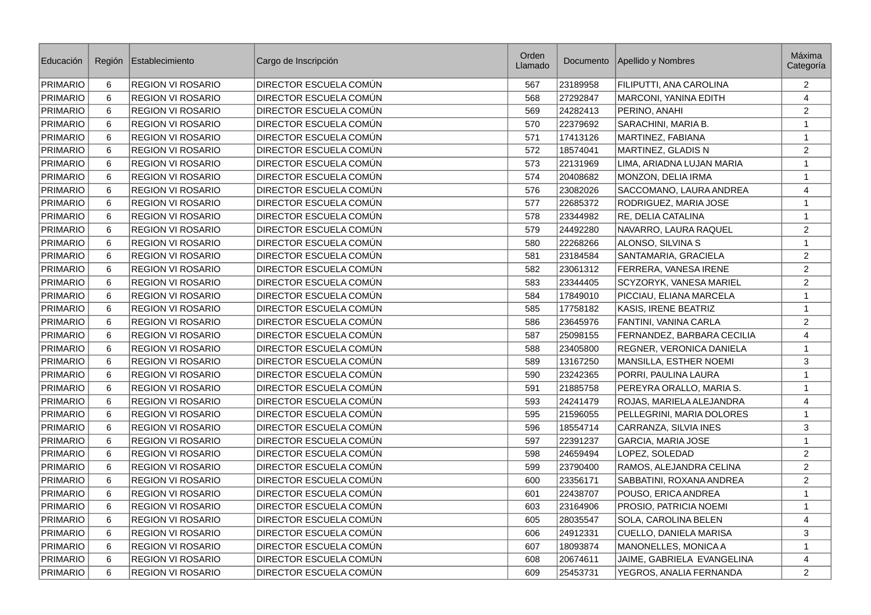| Educación       | Región         | Establecimiento          | Cargo de Inscripción   | Orden<br>Llamado |          | Documento   Apellido y Nombres | Máxima<br>Categoría |
|-----------------|----------------|--------------------------|------------------------|------------------|----------|--------------------------------|---------------------|
| PRIMARIO        | 6              | <b>REGION VI ROSARIO</b> | DIRECTOR ESCUELA COMÚN | 567              | 23189958 | FILIPUTTI, ANA CAROLINA        | 2                   |
| PRIMARIO        | 6              | <b>REGION VI ROSARIO</b> | DIRECTOR ESCUELA COMÚN | 568              | 27292847 | MARCONI, YANINA EDITH          | 4                   |
| <b>PRIMARIO</b> | 6              | <b>REGION VI ROSARIO</b> | DIRECTOR ESCUELA COMÚN | 569              | 24282413 | PERINO, ANAHI                  | $\overline{2}$      |
| <b>PRIMARIO</b> | 6              | REGION VI ROSARIO        | DIRECTOR ESCUELA COMÚN | 570              | 22379692 | SARACHINI, MARIA B.            | $\mathbf{1}$        |
| <b>PRIMARIO</b> | 6              | <b>REGION VI ROSARIO</b> | DIRECTOR ESCUELA COMÚN | 571              | 17413126 | MARTINEZ, FABIANA              | $\mathbf{1}$        |
| PRIMARIO        | $\,6\,$        | REGION VI ROSARIO        | DIRECTOR ESCUELA COMÚN | 572              | 18574041 | MARTINEZ, GLADIS N             | $\overline{2}$      |
| <b>PRIMARIO</b> | 6              | REGION VI ROSARIO        | DIRECTOR ESCUELA COMÚN | 573              | 22131969 | LIMA, ARIADNA LUJAN MARIA      | $\mathbf{1}$        |
| PRIMARIO        | 6              | <b>REGION VI ROSARIO</b> | DIRECTOR ESCUELA COMÚN | 574              | 20408682 | MONZON, DELIA IRMA             | $\mathbf{1}$        |
| PRIMARIO        | 6              | <b>REGION VI ROSARIO</b> | DIRECTOR ESCUELA COMÚN | 576              | 23082026 | SACCOMANO, LAURA ANDREA        | $\overline{4}$      |
| <b>PRIMARIO</b> | 6              | REGION VI ROSARIO        | DIRECTOR ESCUELA COMÚN | 577              | 22685372 | RODRIGUEZ, MARIA JOSE          | $\mathbf{1}$        |
| <b>PRIMARIO</b> | 6              | <b>REGION VI ROSARIO</b> | DIRECTOR ESCUELA COMÚN | 578              | 23344982 | RE, DELIA CATALINA             | $\mathbf{1}$        |
| <b>PRIMARIO</b> | $\,6\,$        | REGION VI ROSARIO        | DIRECTOR ESCUELA COMÚN | 579              | 24492280 | NAVARRO, LAURA RAQUEL          | $\overline{c}$      |
| <b>PRIMARIO</b> | 6              | REGION VI ROSARIO        | DIRECTOR ESCUELA COMÚN | 580              | 22268266 | ALONSO, SILVINA S              | $\mathbf 1$         |
| PRIMARIO        | 6              | <b>REGION VI ROSARIO</b> | DIRECTOR ESCUELA COMÚN | 581              | 23184584 | SANTAMARIA, GRACIELA           | $\overline{2}$      |
| PRIMARIO        | 6              | <b>REGION VI ROSARIO</b> | DIRECTOR ESCUELA COMÚN | 582              | 23061312 | FERRERA, VANESA IRENE          | $\overline{2}$      |
| <b>PRIMARIO</b> | 6              | <b>REGION VI ROSARIO</b> | DIRECTOR ESCUELA COMÚN | 583              | 23344405 | SCYZORYK, VANESA MARIEL        | 2                   |
| PRIMARIO        | 6              | <b>REGION VI ROSARIO</b> | DIRECTOR ESCUELA COMÚN | 584              | 17849010 | PICCIAU, ELIANA MARCELA        | $\mathbf{1}$        |
| <b>PRIMARIO</b> | $\,6\,$        | <b>REGION VI ROSARIO</b> | DIRECTOR ESCUELA COMÚN | 585              | 17758182 | KASIS, IRENE BEATRIZ           | $\mathbf{1}$        |
| <b>PRIMARIO</b> | 6              | <b>REGION VI ROSARIO</b> | DIRECTOR ESCUELA COMÚN | 586              | 23645976 | FANTINI, VANINA CARLA          | 2                   |
| PRIMARIO        | 6              | <b>REGION VI ROSARIO</b> | DIRECTOR ESCUELA COMÚN | 587              | 25098155 | FERNANDEZ, BARBARA CECILIA     | 4                   |
| <b>PRIMARIO</b> | 6              | REGION VI ROSARIO        | DIRECTOR ESCUELA COMÚN | 588              | 23405800 | REGNER, VERONICA DANIELA       | $\mathbf{1}$        |
| <b>PRIMARIO</b> | 6              | REGION VI ROSARIO        | DIRECTOR ESCUELA COMÚN | 589              | 13167250 | MANSILLA, ESTHER NOEMI         | 3                   |
| PRIMARIO        | 6              | <b>REGION VI ROSARIO</b> | DIRECTOR ESCUELA COMUN | 590              | 23242365 | PORRI, PAULINA LAURA           | $\mathbf{1}$        |
| PRIMARIO        | 6              | REGION VI ROSARIO        | DIRECTOR ESCUELA COMÚN | 591              | 21885758 | PEREYRA ORALLO, MARIA S.       | $\mathbf{1}$        |
| PRIMARIO        | 6              | <b>REGION VI ROSARIO</b> | DIRECTOR ESCUELA COMÚN | 593              | 24241479 | ROJAS, MARIELA ALEJANDRA       | $\overline{4}$      |
| PRIMARIO        | 6              | REGION VI ROSARIO        | DIRECTOR ESCUELA COMÚN | 595              | 21596055 | PELLEGRINI, MARIA DOLORES      | $\mathbf 1$         |
| PRIMARIO        | 6              | REGION VI ROSARIO        | DIRECTOR ESCUELA COMÚN | 596              | 18554714 | CARRANZA, SILVIA INES          | 3                   |
| <b>PRIMARIO</b> | 6              | <b>REGION VI ROSARIO</b> | DIRECTOR ESCUELA COMÚN | 597              | 22391237 | GARCIA, MARIA JOSE             | $\mathbf{1}$        |
| PRIMARIO        | 6              | <b>REGION VI ROSARIO</b> | DIRECTOR ESCUELA COMÚN | 598              | 24659494 | LOPEZ, SOLEDAD                 | $\overline{2}$      |
| PRIMARIO        | 6              | <b>REGION VI ROSARIO</b> | DIRECTOR ESCUELA COMÚN | 599              | 23790400 | RAMOS, ALEJANDRA CELINA        | $\overline{2}$      |
| <b>PRIMARIO</b> | $6\phantom{1}$ | <b>REGION VI ROSARIO</b> | DIRECTOR ESCUELA COMÚN | 600              | 23356171 | SABBATINI, ROXANA ANDREA       | $\overline{2}$      |
| PRIMARIO        | 6              | <b>REGION VI ROSARIO</b> | DIRECTOR ESCUELA COMÚN | 601              | 22438707 | POUSO, ERICA ANDREA            | $\mathbf{1}$        |
| PRIMARIO        | 6              | REGION VI ROSARIO        | DIRECTOR ESCUELA COMÚN | 603              | 23164906 | PROSIO, PATRICIA NOEMI         | $\mathbf{1}$        |
| <b>PRIMARIO</b> | 6              | <b>REGION VI ROSARIO</b> | DIRECTOR ESCUELA COMÚN | 605              | 28035547 | SOLA, CAROLINA BELEN           | $\overline{4}$      |
| PRIMARIO        | 6              | REGION VI ROSARIO        | DIRECTOR ESCUELA COMÚN | 606              | 24912331 | CUELLO, DANIELA MARISA         | 3                   |
| PRIMARIO        | 6              | <b>REGION VI ROSARIO</b> | DIRECTOR ESCUELA COMÚN | 607              | 18093874 | <b>MANONELLES, MONICA A</b>    | $\mathbf{1}$        |
| <b>PRIMARIO</b> | $\,6\,$        | <b>REGION VI ROSARIO</b> | DIRECTOR ESCUELA COMÚN | 608              | 20674611 | JAIME, GABRIELA EVANGELINA     | $\overline{4}$      |
| PRIMARIO        | 6              | <b>REGION VI ROSARIO</b> | DIRECTOR ESCUELA COMÚN | 609              | 25453731 | YEGROS, ANALIA FERNANDA        | $\overline{2}$      |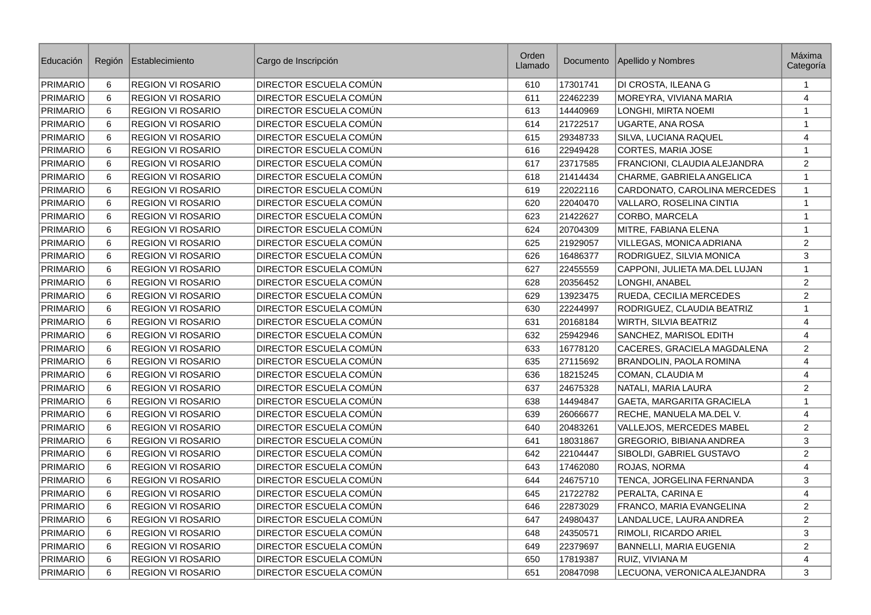| Educación       | Región  | Establecimiento          | Cargo de Inscripción   | Orden<br>Llamado | Documento | Apellido y Nombres            | <b>Máxima</b><br>Categoría |
|-----------------|---------|--------------------------|------------------------|------------------|-----------|-------------------------------|----------------------------|
| PRIMARIO        | 6       | <b>REGION VI ROSARIO</b> | DIRECTOR ESCUELA COMÚN | 610              | 17301741  | DI CROSTA, ILEANA G           | $\mathbf{1}$               |
| <b>PRIMARIO</b> | 6       | <b>REGION VI ROSARIO</b> | DIRECTOR ESCUELA COMÚN | 611              | 22462239  | MOREYRA, VIVIANA MARIA        | $\overline{4}$             |
| <b>PRIMARIO</b> | 6       | <b>REGION VI ROSARIO</b> | DIRECTOR ESCUELA COMÚN | 613              | 14440969  | LONGHI, MIRTA NOEMI           | $\mathbf{1}$               |
| <b>PRIMARIO</b> | 6       | <b>REGION VI ROSARIO</b> | DIRECTOR ESCUELA COMÚN | 614              | 21722517  | <b>UGARTE, ANA ROSA</b>       | 1                          |
| <b>PRIMARIO</b> | 6       | <b>REGION VI ROSARIO</b> | DIRECTOR ESCUELA COMÚN | 615              | 29348733  | SILVA, LUCIANA RAQUEL         | $\overline{4}$             |
| <b>PRIMARIO</b> | 6       | <b>REGION VI ROSARIO</b> | DIRECTOR ESCUELA COMÚN | 616              | 22949428  | CORTES, MARIA JOSE            | $\mathbf 1$                |
| PRIMARIO        | 6       | <b>REGION VI ROSARIO</b> | DIRECTOR ESCUELA COMÚN | 617              | 23717585  | FRANCIONI, CLAUDIA ALEJANDRA  | $\overline{2}$             |
| <b>PRIMARIO</b> | 6       | <b>REGION VI ROSARIO</b> | DIRECTOR ESCUELA COMÚN | 618              | 21414434  | CHARME, GABRIELA ANGELICA     | $\mathbf{1}$               |
| <b>PRIMARIO</b> | 6       | <b>REGION VI ROSARIO</b> | DIRECTOR ESCUELA COMÚN | 619              | 22022116  | CARDONATO, CAROLINA MERCEDES  | $\mathbf{1}$               |
| <b>PRIMARIO</b> | 6       | <b>REGION VI ROSARIO</b> | DIRECTOR ESCUELA COMÚN | 620              | 22040470  | VALLARO, ROSELINA CINTIA      | $\mathbf{1}$               |
| <b>PRIMARIO</b> | 6       | <b>REGION VI ROSARIO</b> | DIRECTOR ESCUELA COMÚN | 623              | 21422627  | CORBO, MARCELA                | $\mathbf{1}$               |
| <b>PRIMARIO</b> | 6       | <b>REGION VI ROSARIO</b> | DIRECTOR ESCUELA COMÚN | 624              | 20704309  | MITRE, FABIANA ELENA          | $\mathbf{1}$               |
| <b>PRIMARIO</b> | 6       | REGION VI ROSARIO        | DIRECTOR ESCUELA COMÚN | 625              | 21929057  | VILLEGAS, MONICA ADRIANA      | $\sqrt{2}$                 |
| <b>PRIMARIO</b> | 6       | <b>REGION VI ROSARIO</b> | DIRECTOR ESCUELA COMÚN | 626              | 16486377  | RODRIGUEZ, SILVIA MONICA      | 3                          |
| <b>PRIMARIO</b> | 6       | <b>REGION VI ROSARIO</b> | DIRECTOR ESCUELA COMÚN | 627              | 22455559  | CAPPONI, JULIETA MA.DEL LUJAN | $\mathbf{1}$               |
| <b>PRIMARIO</b> | 6       | <b>REGION VI ROSARIO</b> | DIRECTOR ESCUELA COMÚN | 628              | 20356452  | LONGHI, ANABEL                | $\overline{c}$             |
| <b>PRIMARIO</b> | $\,6\,$ | <b>REGION VI ROSARIO</b> | DIRECTOR ESCUELA COMÚN | 629              | 13923475  | RUEDA, CECILIA MERCEDES       | $\overline{c}$             |
| <b>PRIMARIO</b> | 6       | <b>REGION VI ROSARIO</b> | DIRECTOR ESCUELA COMÚN | 630              | 22244997  | RODRIGUEZ, CLAUDIA BEATRIZ    | $\mathbf{1}$               |
| <b>PRIMARIO</b> | 6       | <b>REGION VI ROSARIO</b> | DIRECTOR ESCUELA COMÚN | 631              | 20168184  | <b>WIRTH, SILVIA BEATRIZ</b>  | 4                          |
| PRIMARIO        | 6       | <b>REGION VI ROSARIO</b> | DIRECTOR ESCUELA COMÚN | 632              | 25942946  | SANCHEZ, MARISOL EDITH        | $\overline{4}$             |
| <b>PRIMARIO</b> | 6       | <b>REGION VI ROSARIO</b> | DIRECTOR ESCUELA COMÚN | 633              | 16778120  | CACERES, GRACIELA MAGDALENA   | $\overline{2}$             |
| PRIMARIO        | 6       | <b>REGION VI ROSARIO</b> | DIRECTOR ESCUELA COMÚN | 635              | 27115692  | BRANDOLIN, PAOLA ROMINA       | 4                          |
| <b>PRIMARIO</b> | 6       | <b>REGION VI ROSARIO</b> | DIRECTOR ESCUELA COMÚN | 636              | 18215245  | COMAN, CLAUDIA M              | 4                          |
| <b>PRIMARIO</b> | 6       | <b>REGION VI ROSARIO</b> | DIRECTOR ESCUELA COMÚN | 637              | 24675328  | NATALI, MARIA LAURA           | 2                          |
| <b>PRIMARIO</b> | 6       | <b>REGION VI ROSARIO</b> | DIRECTOR ESCUELA COMÚN | 638              | 14494847  | GAETA, MARGARITA GRACIELA     | $\mathbf{1}$               |
| <b>PRIMARIO</b> | 6       | <b>REGION VI ROSARIO</b> | DIRECTOR ESCUELA COMÚN | 639              | 26066677  | RECHE, MANUELA MA.DEL V.      | $\overline{4}$             |
| <b>PRIMARIO</b> | 6       | <b>REGION VI ROSARIO</b> | DIRECTOR ESCUELA COMÚN | 640              | 20483261  | VALLEJOS, MERCEDES MABEL      | 2                          |
| <b>PRIMARIO</b> | 6       | <b>REGION VI ROSARIO</b> | DIRECTOR ESCUELA COMÚN | 641              | 18031867  | GREGORIO, BIBIANA ANDREA      | 3                          |
| <b>PRIMARIO</b> | 6       | <b>REGION VI ROSARIO</b> | DIRECTOR ESCUELA COMÚN | 642              | 22104447  | SIBOLDI, GABRIEL GUSTAVO      | 2                          |
| <b>PRIMARIO</b> | 6       | <b>REGION VI ROSARIO</b> | DIRECTOR ESCUELA COMÚN | 643              | 17462080  | ROJAS, NORMA                  | $\overline{4}$             |
| <b>PRIMARIO</b> | 6       | <b>REGION VI ROSARIO</b> | DIRECTOR ESCUELA COMÚN | 644              | 24675710  | TENCA, JORGELINA FERNANDA     | 3                          |
| <b>PRIMARIO</b> | 6       | <b>REGION VI ROSARIO</b> | DIRECTOR ESCUELA COMÚN | 645              | 21722782  | PERALTA, CARINA E             | $\overline{4}$             |
| <b>PRIMARIO</b> | 6       | <b>REGION VI ROSARIO</b> | DIRECTOR ESCUELA COMÚN | 646              | 22873029  | FRANCO, MARIA EVANGELINA      | $\mathbf{2}$               |
| <b>PRIMARIO</b> | 6       | <b>REGION VI ROSARIO</b> | DIRECTOR ESCUELA COMÚN | 647              | 24980437  | LANDALUCE, LAURA ANDREA       | $\sqrt{2}$                 |
| <b>PRIMARIO</b> | 6       | <b>REGION VI ROSARIO</b> | DIRECTOR ESCUELA COMÚN | 648              | 24350571  | RIMOLI, RICARDO ARIEL         | 3                          |
| <b>PRIMARIO</b> | 6       | <b>REGION VI ROSARIO</b> | DIRECTOR ESCUELA COMÚN | 649              | 22379697  | BANNELLI, MARIA EUGENIA       | $\overline{2}$             |
| <b>PRIMARIO</b> | 6       | <b>REGION VI ROSARIO</b> | DIRECTOR ESCUELA COMÚN | 650              | 17819387  | RUIZ, VIVIANA M               | 4                          |
| <b>PRIMARIO</b> | 6       | <b>REGION VI ROSARIO</b> | DIRECTOR ESCUELA COMÚN | 651              | 20847098  | LECUONA, VERONICA ALEJANDRA   | 3                          |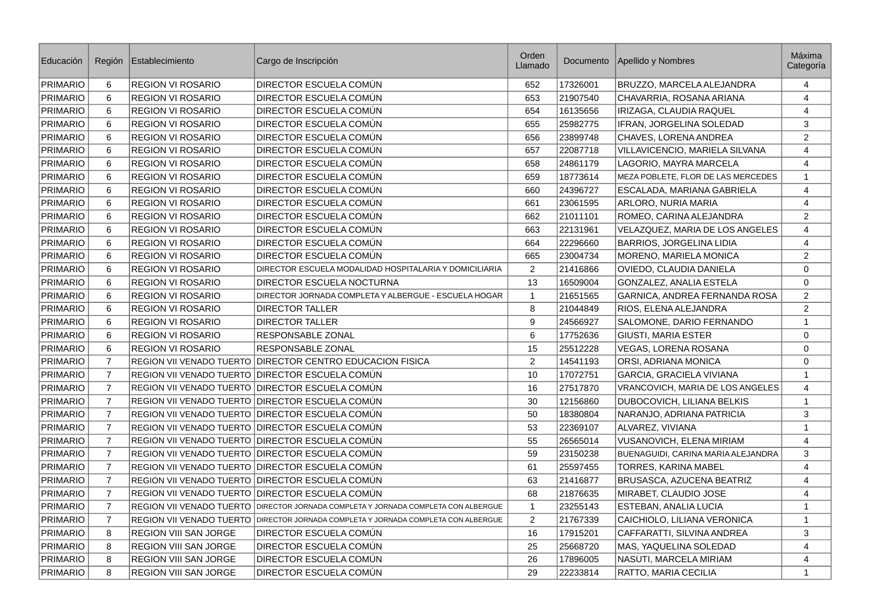| Educación       | Región         | Establecimiento              | Cargo de Inscripción                                      | Orden<br>Llamado |          | Documento   Apellido y Nombres     | Máxima<br>Categoría |
|-----------------|----------------|------------------------------|-----------------------------------------------------------|------------------|----------|------------------------------------|---------------------|
| PRIMARIO        | 6              | <b>REGION VI ROSARIO</b>     | DIRECTOR ESCUELA COMÚN                                    | 652              | 17326001 | BRUZZO, MARCELA ALEJANDRA          | 4                   |
| PRIMARIO        | 6              | <b>REGION VI ROSARIO</b>     | DIRECTOR ESCUELA COMÚN                                    | 653              | 21907540 | CHAVARRIA, ROSANA ARIANA           | $\overline{4}$      |
| PRIMARIO        | 6              | <b>REGION VI ROSARIO</b>     | DIRECTOR ESCUELA COMÚN                                    | 654              | 16135656 | IRIZAGA, CLAUDIA RAQUEL            | 4                   |
| PRIMARIO        | 6              | <b>REGION VI ROSARIO</b>     | DIRECTOR ESCUELA COMÚN                                    | 655              | 25982775 | IFRAN, JORGELINA SOLEDAD           | 3                   |
| <b>PRIMARIO</b> | 6              | <b>REGION VI ROSARIO</b>     | DIRECTOR ESCUELA COMÚN                                    | 656              | 23899748 | CHAVES, LORENA ANDREA              | 2                   |
| PRIMARIO        | 6              | <b>REGION VI ROSARIO</b>     | DIRECTOR ESCUELA COMÚN                                    | 657              | 22087718 | VILLAVICENCIO, MARIELA SILVANA     | $\overline{4}$      |
| PRIMARIO        | 6              | <b>REGION VI ROSARIO</b>     | DIRECTOR ESCUELA COMÚN                                    | 658              | 24861179 | LAGORIO, MAYRA MARCELA             | $\overline{4}$      |
| <b>PRIMARIO</b> | 6              | <b>REGION VI ROSARIO</b>     | DIRECTOR ESCUELA COMÚN                                    | 659              | 18773614 | MEZA POBLETE, FLOR DE LAS MERCEDES | $\mathbf{1}$        |
| PRIMARIO        | 6              | <b>REGION VI ROSARIO</b>     | DIRECTOR ESCUELA COMÚN                                    | 660              | 24396727 | ESCALADA, MARIANA GABRIELA         | $\overline{4}$      |
| PRIMARIO        | 6              | <b>REGION VI ROSARIO</b>     | DIRECTOR ESCUELA COMÚN                                    | 661              | 23061595 | ARLORO, NURIA MARIA                | 4                   |
| <b>PRIMARIO</b> | 6              | <b>REGION VI ROSARIO</b>     | DIRECTOR ESCUELA COMÚN                                    | 662              | 21011101 | ROMEO, CARINA ALEJANDRA            | 2                   |
| PRIMARIO        | 6              | <b>REGION VI ROSARIO</b>     | DIRECTOR ESCUELA COMÚN                                    | 663              | 22131961 | VELAZQUEZ, MARIA DE LOS ANGELES    | $\overline{4}$      |
| PRIMARIO        | 6              | <b>REGION VI ROSARIO</b>     | DIRECTOR ESCUELA COMÚN                                    | 664              | 22296660 | BARRIOS, JORGELINA LIDIA           | $\overline{4}$      |
| <b>PRIMARIO</b> | 6              | <b>REGION VI ROSARIO</b>     | DIRECTOR ESCUELA COMÚN                                    | 665              | 23004734 | MORENO, MARIELA MONICA             | 2                   |
| PRIMARIO        | 6              | <b>REGION VI ROSARIO</b>     | DIRECTOR ESCUELA MODALIDAD HOSPITALARIA Y DOMICILIARIA    | $\overline{2}$   | 21416866 | OVIEDO, CLAUDIA DANIELA            | $\mathbf 0$         |
| <b>PRIMARIO</b> | 6              | <b>REGION VI ROSARIO</b>     | DIRECTOR ESCUELA NOCTURNA                                 | 13               | 16509004 | GONZALEZ, ANALIA ESTELA            | $\mathbf 0$         |
| <b>PRIMARIO</b> | 6              | <b>REGION VI ROSARIO</b>     | DIRECTOR JORNADA COMPLETA Y ALBERGUE - ESCUELA HOGAR      | $\mathbf{1}$     | 21651565 | GARNICA, ANDREA FERNANDA ROSA      | $\overline{2}$      |
| PRIMARIO        | 6              | <b>REGION VI ROSARIO</b>     | <b>DIRECTOR TALLER</b>                                    | 8                | 21044849 | RIOS, ELENA ALEJANDRA              | $\overline{2}$      |
| <b>PRIMARIO</b> | 6              | <b>REGION VI ROSARIO</b>     | <b>DIRECTOR TALLER</b>                                    | 9                | 24566927 | SALOMONE, DARIO FERNANDO           | $\mathbf{1}$        |
| PRIMARIO        | 6              | <b>REGION VI ROSARIO</b>     | RESPONSABLE ZONAL                                         | 6                | 17752636 | <b>GIUSTI, MARIA ESTER</b>         | $\mathbf 0$         |
| PRIMARIO        | 6              | <b>REGION VI ROSARIO</b>     | RESPONSABLE ZONAL                                         | 15               | 25512228 | <b>VEGAS, LORENA ROSANA</b>        | $\mathbf{0}$        |
| <b>PRIMARIO</b> | $\overline{7}$ |                              | REGION VII VENADO TUERTO DIRECTOR CENTRO EDUCACION FISICA | 2                | 14541193 | ORSI, ADRIANA MONICA               | $\mathbf 0$         |
| <b>PRIMARIO</b> | $\overline{7}$ |                              | REGION VII VENADO TUERTO DIRECTOR ESCUELA COMUN           | 10               | 17072751 | GARCIA, GRACIELA VIVIANA           | $\mathbf{1}$        |
| <b>PRIMARIO</b> | $\overline{7}$ |                              | REGION VII VENADO TUERTO DIRECTOR ESCUELA COMÚN           | 16               | 27517870 | VRANCOVICH, MARIA DE LOS ANGELES   | $\overline{4}$      |
| <b>PRIMARIO</b> | $\overline{7}$ |                              | REGION VII VENADO TUERTO DIRECTOR ESCUELA COMÚN           | 30               | 12156860 | <b>DUBOCOVICH, LILIANA BELKIS</b>  | $\mathbf{1}$        |
| <b>PRIMARIO</b> | $\overline{7}$ |                              | REGION VII VENADO TUERTO DIRECTOR ESCUELA COMÚN           | 50               | 18380804 | NARANJO, ADRIANA PATRICIA          | $\mathsf 3$         |
| <b>PRIMARIO</b> | $\overline{7}$ |                              | REGION VII VENADO TUERTO DIRECTOR ESCUELA COMÚN           | 53               | 22369107 | ALVAREZ, VIVIANA                   | $\mathbf{1}$        |
| <b>PRIMARIO</b> | $\overline{7}$ |                              | REGION VII VENADO TUERTO DIRECTOR ESCUELA COMÚN           | 55               | 26565014 | <b>VUSANOVICH, ELENA MIRIAM</b>    | $\overline{4}$      |
| <b>PRIMARIO</b> | $\overline{7}$ |                              | REGION VII VENADO TUERTO   DIRECTOR ESCUELA COMÚN         | 59               | 23150238 | BUENAGUIDI, CARINA MARIA ALEJANDRA | 3                   |
| <b>PRIMARIO</b> | $\overline{7}$ |                              | REGION VII VENADO TUERTO DIRECTOR ESCUELA COMÚN           | 61               | 25597455 | <b>TORRES, KARINA MABEL</b>        | $\overline{4}$      |
| <b>PRIMARIO</b> | $\overline{7}$ |                              | REGION VII VENADO TUERTO DIRECTOR ESCUELA COMÚN           | 63               | 21416877 | <b>BRUSASCA, AZUCENA BEATRIZ</b>   | 4                   |
| <b>PRIMARIO</b> | $\overline{7}$ |                              | REGION VII VENADO TUERTO DIRECTOR ESCUELA COMÚN           | 68               | 21876635 | MIRABET, CLAUDIO JOSE              | $\overline{4}$      |
| <b>PRIMARIO</b> | $\overline{7}$ | REGION VII VENADO TUERTO     | DIRECTOR JORNADA COMPLETA Y JORNADA COMPLETA CON ALBERGUE | $\mathbf{1}$     | 23255143 | <b>ESTEBAN, ANALIA LUCIA</b>       | $\mathbf{1}$        |
| <b>PRIMARIO</b> | $\overline{7}$ | REGION VII VENADO TUERTO     | DIRECTOR JORNADA COMPLETA Y JORNADA COMPLETA CON ALBERGUE | $\overline{c}$   | 21767339 | CAICHIOLO, LILIANA VERONICA        | $\mathbf{1}$        |
| <b>PRIMARIO</b> | 8              | REGION VIII SAN JORGE        | DIRECTOR ESCUELA COMÚN                                    | 16               | 17915201 | CAFFARATTI, SILVINA ANDREA         | 3                   |
| PRIMARIO        | 8              | <b>REGION VIII SAN JORGE</b> | DIRECTOR ESCUELA COMÚN                                    | 25               | 25668720 | MAS, YAQUELINA SOLEDAD             | $\overline{4}$      |
| <b>PRIMARIO</b> | 8              | <b>REGION VIII SAN JORGE</b> | DIRECTOR ESCUELA COMÚN                                    | 26               | 17896005 | NASUTI, MARCELA MIRIAM             | $\overline{4}$      |
| PRIMARIO        | 8              | <b>REGION VIII SAN JORGE</b> | DIRECTOR ESCUELA COMÚN                                    | 29               | 22233814 | RATTO, MARIA CECILIA               | $\mathbf{1}$        |